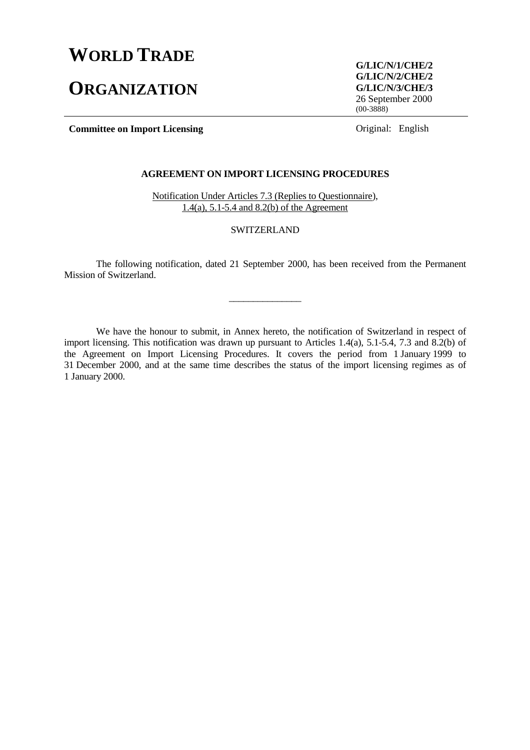# **WORLD TRADE**

# **ORGANIZATION**

**G/LIC/N/1/CHE/2 G/LIC/N/2/CHE/2 G/LIC/N/3/CHE/3** 26 September 2000  $(00-3888)$ 

**Committee on Import Licensing Committee on Import Licensing Committee on Import Licensing Committee on Import Licensing Committee on Import Licensing Committee on Import Licensing Committee on Import Licensing Committee o** 

# **AGREEMENT ON IMPORT LICENSING PROCEDURES**

Notification Under Articles 7.3 (Replies to Questionnaire), 1.4(a), 5.1-5.4 and 8.2(b) of the Agreement

## SWITZERLAND

The following notification, dated 21 September 2000, has been received from the Permanent Mission of Switzerland.

\_\_\_\_\_\_\_\_\_\_\_\_\_\_\_

We have the honour to submit, in Annex hereto, the notification of Switzerland in respect of import licensing. This notification was drawn up pursuant to Articles 1.4(a), 5.1-5.4, 7.3 and 8.2(b) of the Agreement on Import Licensing Procedures. It covers the period from 1 January 1999 to 31 December 2000, and at the same time describes the status of the import licensing regimes as of 1 January 2000.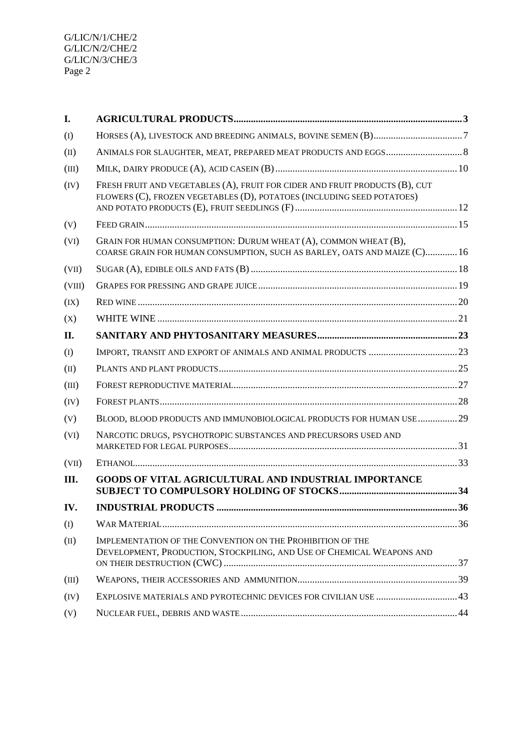| I.     |                                                                                                                                                       |      |
|--------|-------------------------------------------------------------------------------------------------------------------------------------------------------|------|
| (I)    |                                                                                                                                                       |      |
| (II)   |                                                                                                                                                       |      |
| (III)  |                                                                                                                                                       |      |
| (IV)   | FRESH FRUIT AND VEGETABLES (A), FRUIT FOR CIDER AND FRUIT PRODUCTS (B), CUT<br>FLOWERS (C), FROZEN VEGETABLES (D), POTATOES (INCLUDING SEED POTATOES) |      |
| (V)    |                                                                                                                                                       |      |
| (VI)   | GRAIN FOR HUMAN CONSUMPTION: DURUM WHEAT (A), COMMON WHEAT (B),<br>COARSE GRAIN FOR HUMAN CONSUMPTION, SUCH AS BARLEY, OATS AND MAIZE (C) 16          |      |
| (VII)  |                                                                                                                                                       |      |
| (VIII) |                                                                                                                                                       |      |
| (IX)   |                                                                                                                                                       |      |
| (X)    |                                                                                                                                                       |      |
| II.    |                                                                                                                                                       |      |
| (I)    |                                                                                                                                                       |      |
| (II)   |                                                                                                                                                       |      |
| (III)  |                                                                                                                                                       |      |
| (IV)   |                                                                                                                                                       |      |
| (V)    | BLOOD, BLOOD PRODUCTS AND IMMUNOBIOLOGICAL PRODUCTS FOR HUMAN USE 29                                                                                  |      |
| (VI)   | NARCOTIC DRUGS, PSYCHOTROPIC SUBSTANCES AND PRECURSORS USED AND                                                                                       |      |
| (VII)  |                                                                                                                                                       |      |
| Ш.     | <b>GOODS OF VITAL AGRICULTURAL AND INDUSTRIAL IMPORTANCE</b>                                                                                          |      |
| IV.    | <b>INDUSTRIAL PRODUCTS.</b>                                                                                                                           | . 36 |
| (I)    |                                                                                                                                                       |      |
| (II)   | IMPLEMENTATION OF THE CONVENTION ON THE PROHIBITION OF THE<br>DEVELOPMENT, PRODUCTION, STOCKPILING, AND USE OF CHEMICAL WEAPONS AND                   |      |
| (III)  |                                                                                                                                                       |      |
| (IV)   | EXPLOSIVE MATERIALS AND PYROTECHNIC DEVICES FOR CIVILIAN USE  43                                                                                      |      |
| (V)    |                                                                                                                                                       |      |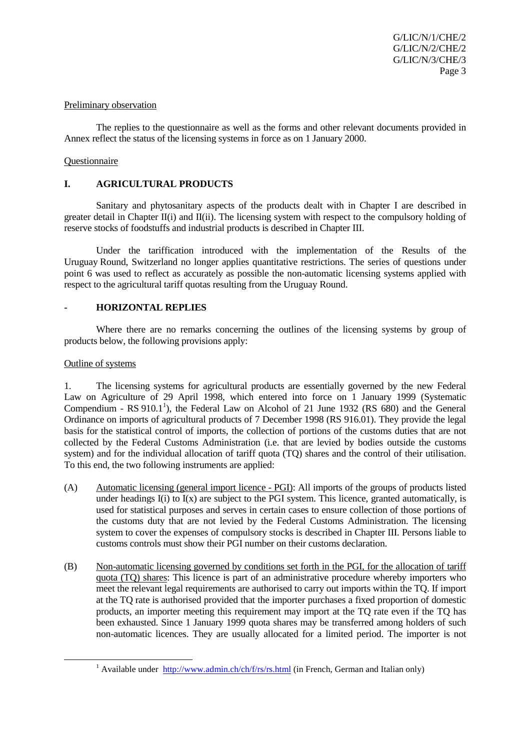#### Preliminary observation

The replies to the questionnaire as well as the forms and other relevant documents provided in Annex reflect the status of the licensing systems in force as on 1 January 2000.

#### Questionnaire

## **I. AGRICULTURAL PRODUCTS**

Sanitary and phytosanitary aspects of the products dealt with in Chapter I are described in greater detail in Chapter II(i) and II(ii). The licensing system with respect to the compulsory holding of reserve stocks of foodstuffs and industrial products is described in Chapter III.

Under the tariffication introduced with the implementation of the Results of the Uruguay Round, Switzerland no longer applies quantitative restrictions. The series of questions under point 6 was used to reflect as accurately as possible the non-automatic licensing systems applied with respect to the agricultural tariff quotas resulting from the Uruguay Round.

## **- HORIZONTAL REPLIES**

Where there are no remarks concerning the outlines of the licensing systems by group of products below, the following provisions apply:

## Outline of systems

1. The licensing systems for agricultural products are essentially governed by the new Federal Law on Agriculture of 29 April 1998, which entered into force on 1 January 1999 (Systematic Compendium -  $RS 910.1<sup>1</sup>$ ), the Federal Law on Alcohol of 21 June 1932 (RS 680) and the General Ordinance on imports of agricultural products of 7 December 1998 (RS 916.01). They provide the legal basis for the statistical control of imports, the collection of portions of the customs duties that are not collected by the Federal Customs Administration (i.e. that are levied by bodies outside the customs system) and for the individual allocation of tariff quota (TQ) shares and the control of their utilisation. To this end, the two following instruments are applied:

- (A) Automatic licensing (general import licence PGI): All imports of the groups of products listed under headings  $I(i)$  to  $I(x)$  are subject to the PGI system. This licence, granted automatically, is used for statistical purposes and serves in certain cases to ensure collection of those portions of the customs duty that are not levied by the Federal Customs Administration. The licensing system to cover the expenses of compulsory stocks is described in Chapter III. Persons liable to customs controls must show their PGI number on their customs declaration.
- (B) Non-automatic licensing governed by conditions set forth in the PGI, for the allocation of tariff quota (TQ) shares: This licence is part of an administrative procedure whereby importers who meet the relevant legal requirements are authorised to carry out imports within the TQ. If import at the TQ rate is authorised provided that the importer purchases a fixed proportion of domestic products, an importer meeting this requirement may import at the TQ rate even if the TQ has been exhausted. Since 1 January 1999 quota shares may be transferred among holders of such non-automatic licences. They are usually allocated for a limited period. The importer is not

<sup>&</sup>lt;u>1</u> <sup>1</sup> Available under http://www.admin.ch/ch/f/rs/rs.html (in French, German and Italian only)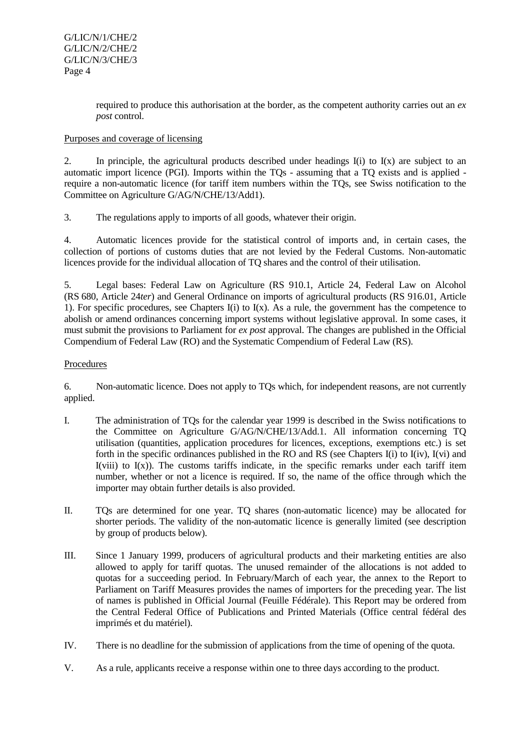required to produce this authorisation at the border, as the competent authority carries out an *ex post* control.

# Purposes and coverage of licensing

2. In principle, the agricultural products described under headings  $I(i)$  to  $I(x)$  are subject to an automatic import licence (PGI). Imports within the TQs - assuming that a TQ exists and is applied require a non-automatic licence (for tariff item numbers within the TQs, see Swiss notification to the Committee on Agriculture G/AG/N/CHE/13/Add1).

3. The regulations apply to imports of all goods, whatever their origin.

4. Automatic licences provide for the statistical control of imports and, in certain cases, the collection of portions of customs duties that are not levied by the Federal Customs. Non-automatic licences provide for the individual allocation of TQ shares and the control of their utilisation.

5. Legal bases: Federal Law on Agriculture (RS 910.1, Article 24, Federal Law on Alcohol (RS 680, Article 24*ter*) and General Ordinance on imports of agricultural products (RS 916.01, Article 1). For specific procedures, see Chapters  $I(i)$  to  $I(x)$ . As a rule, the government has the competence to abolish or amend ordinances concerning import systems without legislative approval. In some cases, it must submit the provisions to Parliament for *ex post* approval. The changes are published in the Official Compendium of Federal Law (RO) and the Systematic Compendium of Federal Law (RS).

## Procedures

6. Non-automatic licence. Does not apply to TQs which, for independent reasons, are not currently applied.

- I. The administration of TQs for the calendar year 1999 is described in the Swiss notifications to the Committee on Agriculture G/AG/N/CHE/13/Add.1. All information concerning TQ utilisation (quantities, application procedures for licences, exceptions, exemptions etc.) is set forth in the specific ordinances published in the RO and RS (see Chapters I(i) to I(iv), I(vi) and  $I(viii)$  to  $I(x)$ ). The customs tariffs indicate, in the specific remarks under each tariff item number, whether or not a licence is required. If so, the name of the office through which the importer may obtain further details is also provided.
- II. TQs are determined for one year. TQ shares (non-automatic licence) may be allocated for shorter periods. The validity of the non-automatic licence is generally limited (see description by group of products below).
- III. Since 1 January 1999, producers of agricultural products and their marketing entities are also allowed to apply for tariff quotas. The unused remainder of the allocations is not added to quotas for a succeeding period. In February/March of each year, the annex to the Report to Parliament on Tariff Measures provides the names of importers for the preceding year. The list of names is published in Official Journal (Feuille Fédérale). This Report may be ordered from the Central Federal Office of Publications and Printed Materials (Office central fédéral des imprimés et du matériel).
- IV. There is no deadline for the submission of applications from the time of opening of the quota.
- V. As a rule, applicants receive a response within one to three days according to the product.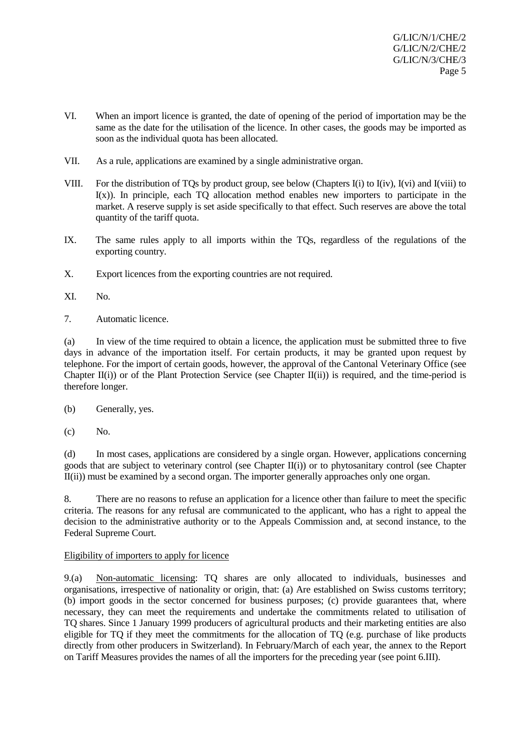- VI. When an import licence is granted, the date of opening of the period of importation may be the same as the date for the utilisation of the licence. In other cases, the goods may be imported as soon as the individual quota has been allocated.
- VII. As a rule, applications are examined by a single administrative organ.
- VIII. For the distribution of TQs by product group, see below (Chapters I(i) to I(iv), I(vi) and I(viii) to  $I(x)$ ). In principle, each TO allocation method enables new importers to participate in the market. A reserve supply is set aside specifically to that effect. Such reserves are above the total quantity of the tariff quota.
- IX. The same rules apply to all imports within the TQs, regardless of the regulations of the exporting country.
- X. Export licences from the exporting countries are not required.
- XI. No.
- 7. Automatic licence.

(a) In view of the time required to obtain a licence, the application must be submitted three to five days in advance of the importation itself. For certain products, it may be granted upon request by telephone. For the import of certain goods, however, the approval of the Cantonal Veterinary Office (see Chapter II(i)) or of the Plant Protection Service (see Chapter II(ii)) is required, and the time-period is therefore longer.

(b) Generally, yes.

 $(c)$  No.

(d) In most cases, applications are considered by a single organ. However, applications concerning goods that are subject to veterinary control (see Chapter II(i)) or to phytosanitary control (see Chapter II(ii)) must be examined by a second organ. The importer generally approaches only one organ.

8. There are no reasons to refuse an application for a licence other than failure to meet the specific criteria. The reasons for any refusal are communicated to the applicant, who has a right to appeal the decision to the administrative authority or to the Appeals Commission and, at second instance, to the Federal Supreme Court.

## Eligibility of importers to apply for licence

9.(a) Non-automatic licensing: TQ shares are only allocated to individuals, businesses and organisations, irrespective of nationality or origin, that: (a) Are established on Swiss customs territory; (b) import goods in the sector concerned for business purposes; (c) provide guarantees that, where necessary, they can meet the requirements and undertake the commitments related to utilisation of TQ shares. Since 1 January 1999 producers of agricultural products and their marketing entities are also eligible for TQ if they meet the commitments for the allocation of TQ (e.g. purchase of like products directly from other producers in Switzerland). In February/March of each year, the annex to the Report on Tariff Measures provides the names of all the importers for the preceding year (see point 6.III).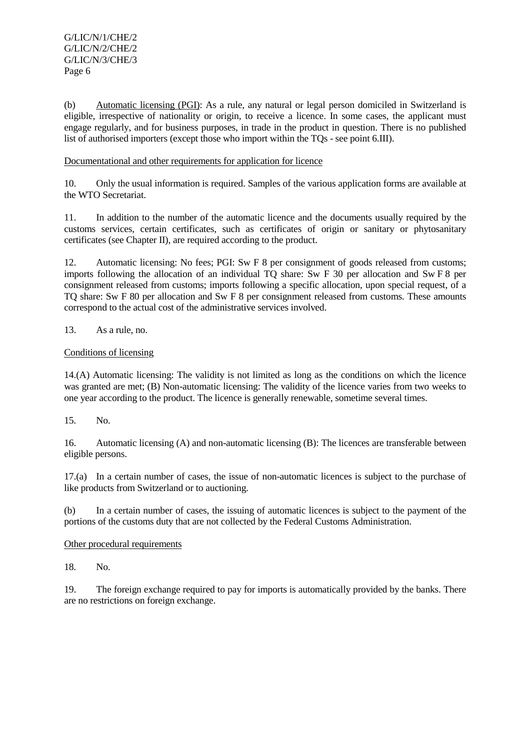(b) Automatic licensing (PGI): As a rule, any natural or legal person domiciled in Switzerland is eligible, irrespective of nationality or origin, to receive a licence. In some cases, the applicant must engage regularly, and for business purposes, in trade in the product in question. There is no published list of authorised importers (except those who import within the TQs - see point 6.III).

## Documentational and other requirements for application for licence

10. Only the usual information is required. Samples of the various application forms are available at the WTO Secretariat.

11. In addition to the number of the automatic licence and the documents usually required by the customs services, certain certificates, such as certificates of origin or sanitary or phytosanitary certificates (see Chapter II), are required according to the product.

12. Automatic licensing: No fees; PGI: Sw F 8 per consignment of goods released from customs; imports following the allocation of an individual TQ share: Sw F 30 per allocation and Sw F 8 per consignment released from customs; imports following a specific allocation, upon special request, of a TQ share: Sw F 80 per allocation and Sw F 8 per consignment released from customs. These amounts correspond to the actual cost of the administrative services involved.

# 13. As a rule, no.

## Conditions of licensing

14.(A) Automatic licensing: The validity is not limited as long as the conditions on which the licence was granted are met; (B) Non-automatic licensing: The validity of the licence varies from two weeks to one year according to the product. The licence is generally renewable, sometime several times.

15. No.

16. Automatic licensing (A) and non-automatic licensing (B): The licences are transferable between eligible persons.

17.(a) In a certain number of cases, the issue of non-automatic licences is subject to the purchase of like products from Switzerland or to auctioning.

(b) In a certain number of cases, the issuing of automatic licences is subject to the payment of the portions of the customs duty that are not collected by the Federal Customs Administration.

## Other procedural requirements

18. No.

19. The foreign exchange required to pay for imports is automatically provided by the banks. There are no restrictions on foreign exchange.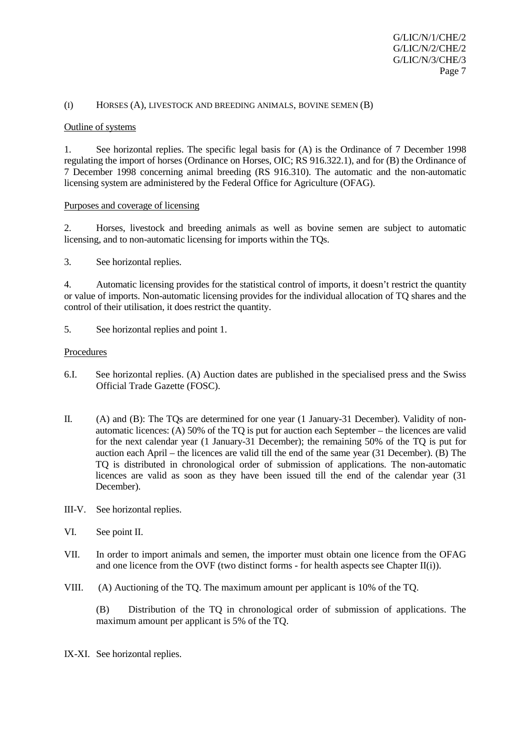## (I) HORSES (A), LIVESTOCK AND BREEDING ANIMALS, BOVINE SEMEN (B)

#### Outline of systems

1. See horizontal replies. The specific legal basis for (A) is the Ordinance of 7 December 1998 regulating the import of horses (Ordinance on Horses, OIC; RS 916.322.1), and for (B) the Ordinance of 7 December 1998 concerning animal breeding (RS 916.310). The automatic and the non-automatic licensing system are administered by the Federal Office for Agriculture (OFAG).

## Purposes and coverage of licensing

2. Horses, livestock and breeding animals as well as bovine semen are subject to automatic licensing, and to non-automatic licensing for imports within the TQs.

3. See horizontal replies.

4. Automatic licensing provides for the statistical control of imports, it doesn't restrict the quantity or value of imports. Non-automatic licensing provides for the individual allocation of TQ shares and the control of their utilisation, it does restrict the quantity.

5. See horizontal replies and point 1.

#### **Procedures**

- 6.I. See horizontal replies. (A) Auction dates are published in the specialised press and the Swiss Official Trade Gazette (FOSC).
- II. (A) and (B): The TQs are determined for one year (1 January-31 December). Validity of nonautomatic licences: (A) 50% of the TQ is put for auction each September – the licences are valid for the next calendar year (1 January-31 December); the remaining 50% of the TQ is put for auction each April – the licences are valid till the end of the same year (31 December). (B) The TQ is distributed in chronological order of submission of applications. The non-automatic licences are valid as soon as they have been issued till the end of the calendar year (31 December).
- III-V. See horizontal replies.
- VI. See point II.
- VII. In order to import animals and semen, the importer must obtain one licence from the OFAG and one licence from the OVF (two distinct forms - for health aspects see Chapter II(i)).
- VIII. (A) Auctioning of the TQ. The maximum amount per applicant is 10% of the TQ.

(B) Distribution of the TQ in chronological order of submission of applications. The maximum amount per applicant is 5% of the TQ.

IX-XI. See horizontal replies.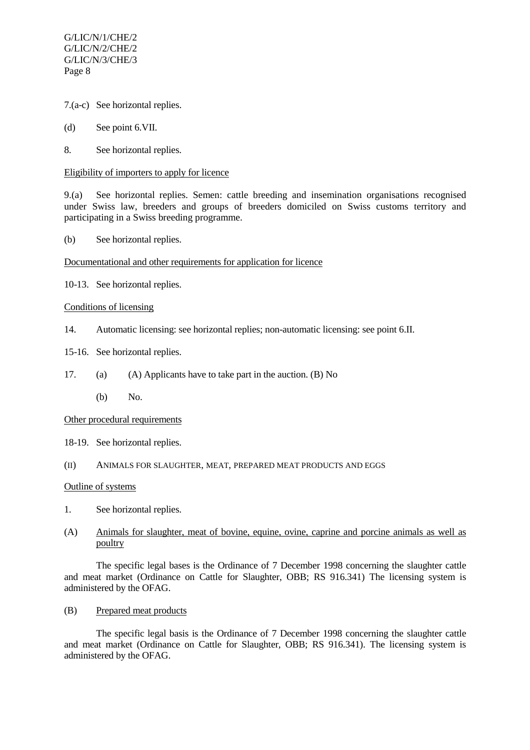- 7.(a-c) See horizontal replies.
- (d) See point 6.VII.
- 8. See horizontal replies.

#### Eligibility of importers to apply for licence

9.(a) See horizontal replies. Semen: cattle breeding and insemination organisations recognised under Swiss law, breeders and groups of breeders domiciled on Swiss customs territory and participating in a Swiss breeding programme.

(b) See horizontal replies.

## Documentational and other requirements for application for licence

10-13. See horizontal replies.

## Conditions of licensing

- 14. Automatic licensing: see horizontal replies; non-automatic licensing: see point 6.II.
- 15-16. See horizontal replies.
- 17. (a) (A) Applicants have to take part in the auction. (B) No
	- (b) No.

## Other procedural requirements

- 18-19. See horizontal replies.
- (II) ANIMALS FOR SLAUGHTER, MEAT, PREPARED MEAT PRODUCTS AND EGGS

## Outline of systems

1. See horizontal replies.

# (A) Animals for slaughter, meat of bovine, equine, ovine, caprine and porcine animals as well as poultry

The specific legal bases is the Ordinance of 7 December 1998 concerning the slaughter cattle and meat market (Ordinance on Cattle for Slaughter, OBB; RS 916.341) The licensing system is administered by the OFAG.

(B) Prepared meat products

The specific legal basis is the Ordinance of 7 December 1998 concerning the slaughter cattle and meat market (Ordinance on Cattle for Slaughter, OBB; RS 916.341). The licensing system is administered by the OFAG.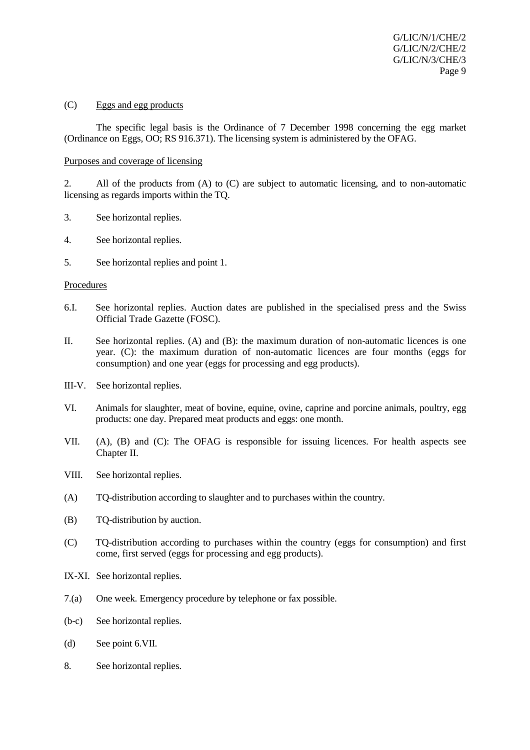#### (C) Eggs and egg products

The specific legal basis is the Ordinance of 7 December 1998 concerning the egg market (Ordinance on Eggs, OO; RS 916.371). The licensing system is administered by the OFAG.

#### Purposes and coverage of licensing

2. All of the products from (A) to (C) are subject to automatic licensing, and to non-automatic licensing as regards imports within the TQ.

- 3. See horizontal replies.
- 4. See horizontal replies.
- 5. See horizontal replies and point 1.

#### **Procedures**

- 6.I. See horizontal replies. Auction dates are published in the specialised press and the Swiss Official Trade Gazette (FOSC).
- II. See horizontal replies. (A) and (B): the maximum duration of non-automatic licences is one year. (C): the maximum duration of non-automatic licences are four months (eggs for consumption) and one year (eggs for processing and egg products).
- III-V. See horizontal replies.
- VI. Animals for slaughter, meat of bovine, equine, ovine, caprine and porcine animals, poultry, egg products: one day. Prepared meat products and eggs: one month.
- VII. (A), (B) and (C): The OFAG is responsible for issuing licences. For health aspects see Chapter II.
- VIII. See horizontal replies.
- (A) TQ-distribution according to slaughter and to purchases within the country.
- (B) TQ-distribution by auction.
- (C) TQ-distribution according to purchases within the country (eggs for consumption) and first come, first served (eggs for processing and egg products).
- IX-XI. See horizontal replies.
- 7.(a) One week. Emergency procedure by telephone or fax possible.
- (b-c) See horizontal replies.
- (d) See point 6.VII.
- 8. See horizontal replies.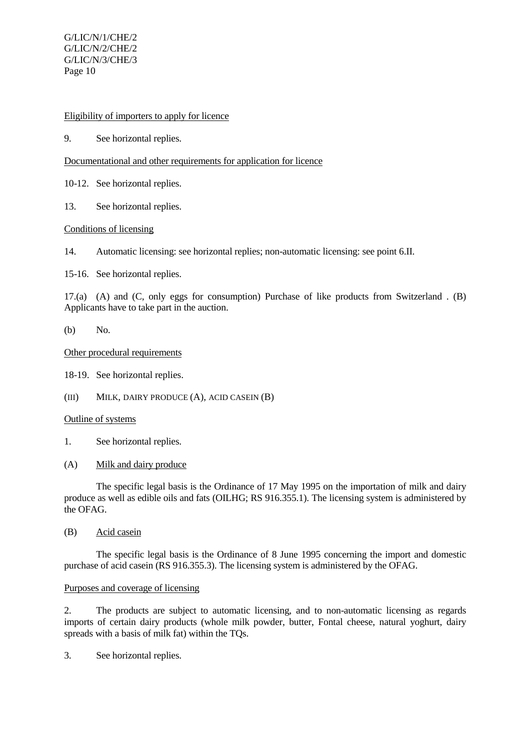## Eligibility of importers to apply for licence

9. See horizontal replies.

## Documentational and other requirements for application for licence

- 10-12. See horizontal replies.
- 13. See horizontal replies.

# Conditions of licensing

14. Automatic licensing: see horizontal replies; non-automatic licensing: see point 6.II.

15-16. See horizontal replies.

17.(a) (A) and (C, only eggs for consumption) Purchase of like products from Switzerland . (B) Applicants have to take part in the auction.

(b) No.

## Other procedural requirements

18-19. See horizontal replies.

(III) MILK, DAIRY PRODUCE (A), ACID CASEIN (B)

# Outline of systems

- 1. See horizontal replies.
- (A) Milk and dairy produce

The specific legal basis is the Ordinance of 17 May 1995 on the importation of milk and dairy produce as well as edible oils and fats (OILHG; RS 916.355.1). The licensing system is administered by the OFAG.

(B) Acid casein

The specific legal basis is the Ordinance of 8 June 1995 concerning the import and domestic purchase of acid casein (RS 916.355.3). The licensing system is administered by the OFAG.

## Purposes and coverage of licensing

2. The products are subject to automatic licensing, and to non-automatic licensing as regards imports of certain dairy products (whole milk powder, butter, Fontal cheese, natural yoghurt, dairy spreads with a basis of milk fat) within the TQs.

3. See horizontal replies.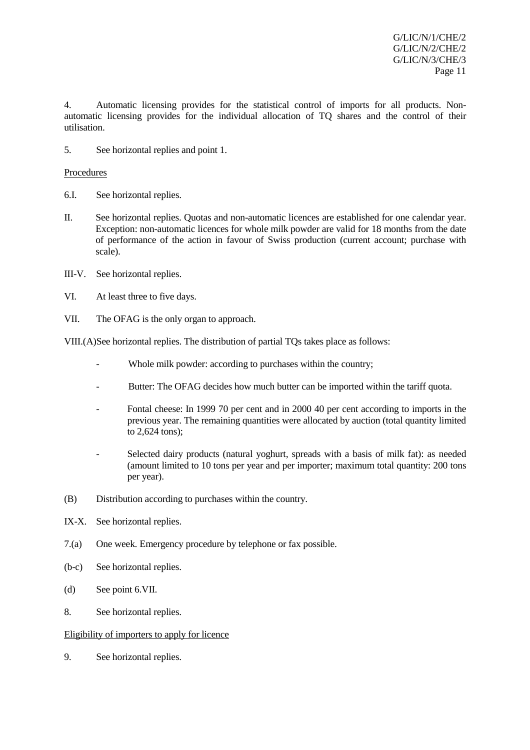4. Automatic licensing provides for the statistical control of imports for all products. Nonautomatic licensing provides for the individual allocation of TQ shares and the control of their utilisation.

5. See horizontal replies and point 1.

## Procedures

- 6.I. See horizontal replies.
- II. See horizontal replies. Quotas and non-automatic licences are established for one calendar year. Exception: non-automatic licences for whole milk powder are valid for 18 months from the date of performance of the action in favour of Swiss production (current account; purchase with scale).
- III-V. See horizontal replies.
- VI. At least three to five days.
- VII. The OFAG is the only organ to approach.

VIII.(A)See horizontal replies. The distribution of partial TQs takes place as follows:

- Whole milk powder: according to purchases within the country;
- Butter: The OFAG decides how much butter can be imported within the tariff quota.
- Fontal cheese: In 1999 70 per cent and in 2000 40 per cent according to imports in the previous year. The remaining quantities were allocated by auction (total quantity limited to 2,624 tons);
- Selected dairy products (natural yoghurt, spreads with a basis of milk fat): as needed (amount limited to 10 tons per year and per importer; maximum total quantity: 200 tons per year).
- (B) Distribution according to purchases within the country.
- IX-X. See horizontal replies.
- 7.(a) One week. Emergency procedure by telephone or fax possible.
- (b-c) See horizontal replies.
- (d) See point 6.VII.
- 8. See horizontal replies.

## Eligibility of importers to apply for licence

9. See horizontal replies.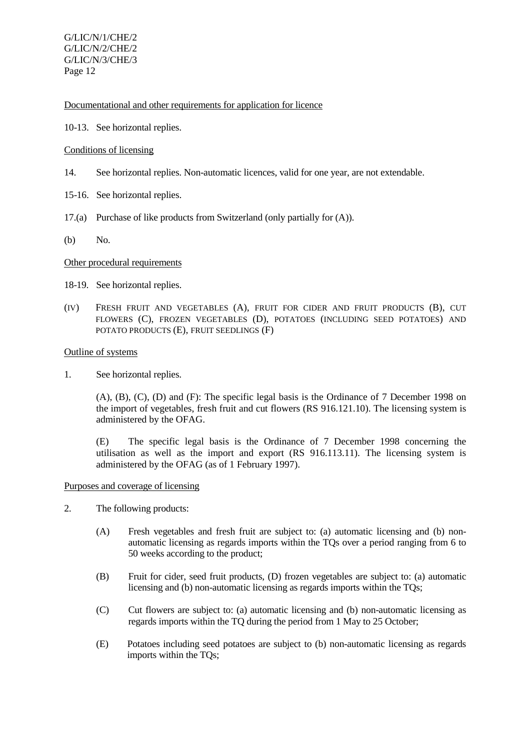Documentational and other requirements for application for licence

10-13. See horizontal replies.

## Conditions of licensing

- 14. See horizontal replies. Non-automatic licences, valid for one year, are not extendable.
- 15-16. See horizontal replies.
- 17.(a) Purchase of like products from Switzerland (only partially for (A)).
- (b) No.

## Other procedural requirements

- 18-19. See horizontal replies.
- (IV) FRESH FRUIT AND VEGETABLES (A), FRUIT FOR CIDER AND FRUIT PRODUCTS (B), CUT FLOWERS (C), FROZEN VEGETABLES (D), POTATOES (INCLUDING SEED POTATOES) AND POTATO PRODUCTS (E), FRUIT SEEDLINGS (F)

## Outline of systems

1. See horizontal replies.

(A), (B), (C), (D) and (F): The specific legal basis is the Ordinance of 7 December 1998 on the import of vegetables, fresh fruit and cut flowers (RS 916.121.10). The licensing system is administered by the OFAG.

(E) The specific legal basis is the Ordinance of 7 December 1998 concerning the utilisation as well as the import and export (RS 916.113.11). The licensing system is administered by the OFAG (as of 1 February 1997).

## Purposes and coverage of licensing

- 2. The following products:
	- (A) Fresh vegetables and fresh fruit are subject to: (a) automatic licensing and (b) nonautomatic licensing as regards imports within the TQs over a period ranging from 6 to 50 weeks according to the product;
	- (B) Fruit for cider, seed fruit products, (D) frozen vegetables are subject to: (a) automatic licensing and (b) non-automatic licensing as regards imports within the TQs;
	- (C) Cut flowers are subject to: (a) automatic licensing and (b) non-automatic licensing as regards imports within the TO during the period from 1 May to 25 October;
	- (E) Potatoes including seed potatoes are subject to (b) non-automatic licensing as regards imports within the TQs;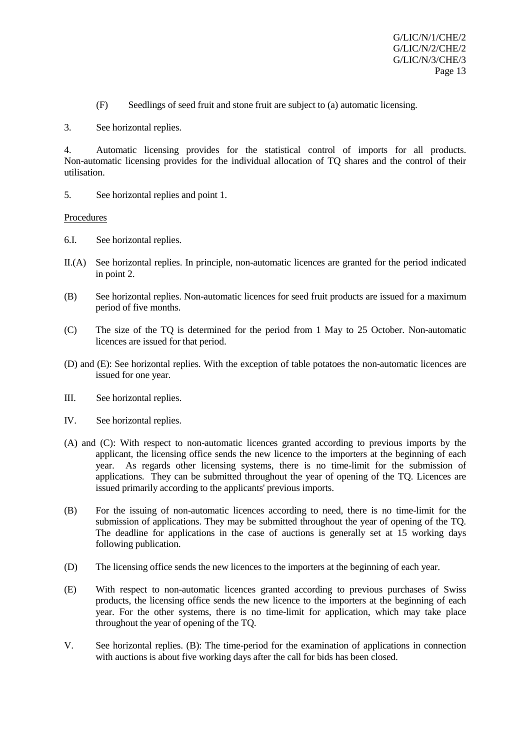(F) Seedlings of seed fruit and stone fruit are subject to (a) automatic licensing.

3. See horizontal replies.

4. Automatic licensing provides for the statistical control of imports for all products. Non-automatic licensing provides for the individual allocation of TQ shares and the control of their utilisation.

5. See horizontal replies and point 1.

## Procedures

- 6.I. See horizontal replies.
- II.(A) See horizontal replies. In principle, non-automatic licences are granted for the period indicated in point 2.
- (B) See horizontal replies. Non-automatic licences for seed fruit products are issued for a maximum period of five months.
- (C) The size of the TQ is determined for the period from 1 May to 25 October. Non-automatic licences are issued for that period.
- (D) and (E): See horizontal replies. With the exception of table potatoes the non-automatic licences are issued for one year.
- III. See horizontal replies.
- IV. See horizontal replies.
- (A) and (C): With respect to non-automatic licences granted according to previous imports by the applicant, the licensing office sends the new licence to the importers at the beginning of each year. As regards other licensing systems, there is no time-limit for the submission of applications. They can be submitted throughout the year of opening of the TQ. Licences are issued primarily according to the applicants' previous imports.
- (B) For the issuing of non-automatic licences according to need, there is no time-limit for the submission of applications. They may be submitted throughout the year of opening of the TQ. The deadline for applications in the case of auctions is generally set at 15 working days following publication.
- (D) The licensing office sends the new licences to the importers at the beginning of each year.
- (E) With respect to non-automatic licences granted according to previous purchases of Swiss products, the licensing office sends the new licence to the importers at the beginning of each year. For the other systems, there is no time-limit for application, which may take place throughout the year of opening of the TQ.
- V. See horizontal replies. (B): The time-period for the examination of applications in connection with auctions is about five working days after the call for bids has been closed.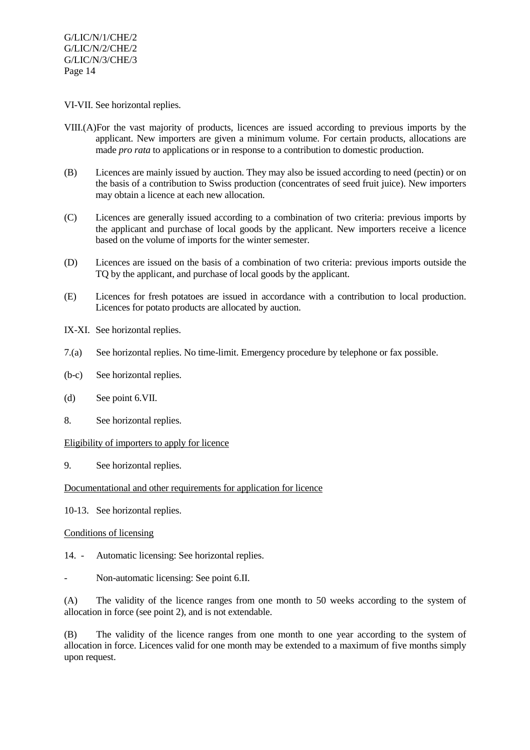#### VI-VII. See horizontal replies.

- VIII.(A)For the vast majority of products, licences are issued according to previous imports by the applicant. New importers are given a minimum volume. For certain products, allocations are made *pro rata* to applications or in response to a contribution to domestic production.
- (B) Licences are mainly issued by auction. They may also be issued according to need (pectin) or on the basis of a contribution to Swiss production (concentrates of seed fruit juice). New importers may obtain a licence at each new allocation.
- (C) Licences are generally issued according to a combination of two criteria: previous imports by the applicant and purchase of local goods by the applicant. New importers receive a licence based on the volume of imports for the winter semester.
- (D) Licences are issued on the basis of a combination of two criteria: previous imports outside the TQ by the applicant, and purchase of local goods by the applicant.
- (E) Licences for fresh potatoes are issued in accordance with a contribution to local production. Licences for potato products are allocated by auction.
- IX-XI. See horizontal replies.
- 7.(a) See horizontal replies. No time-limit. Emergency procedure by telephone or fax possible.
- (b-c) See horizontal replies.
- (d) See point 6.VII.
- 8. See horizontal replies.

## Eligibility of importers to apply for licence

9. See horizontal replies.

## Documentational and other requirements for application for licence

10-13. See horizontal replies.

## Conditions of licensing

- 14. Automatic licensing: See horizontal replies.
- Non-automatic licensing: See point 6.II.

(A) The validity of the licence ranges from one month to 50 weeks according to the system of allocation in force (see point 2), and is not extendable.

(B) The validity of the licence ranges from one month to one year according to the system of allocation in force. Licences valid for one month may be extended to a maximum of five months simply upon request.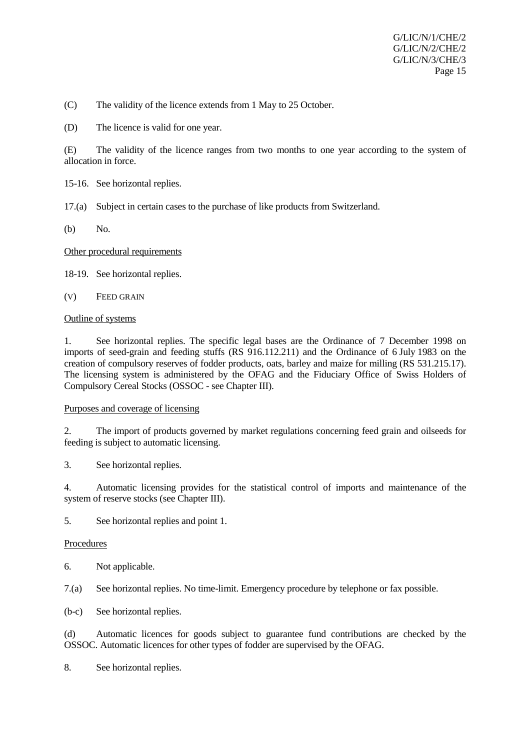(C) The validity of the licence extends from 1 May to 25 October.

(D) The licence is valid for one year.

(E) The validity of the licence ranges from two months to one year according to the system of allocation in force.

- 15-16. See horizontal replies.
- 17.(a) Subject in certain cases to the purchase of like products from Switzerland.
- (b) No.

## Other procedural requirements

18-19. See horizontal replies.

(V) FEED GRAIN

## Outline of systems

1. See horizontal replies. The specific legal bases are the Ordinance of 7 December 1998 on imports of seed-grain and feeding stuffs (RS 916.112.211) and the Ordinance of 6 July 1983 on the creation of compulsory reserves of fodder products, oats, barley and maize for milling (RS 531.215.17). The licensing system is administered by the OFAG and the Fiduciary Office of Swiss Holders of Compulsory Cereal Stocks (OSSOC - see Chapter III).

## Purposes and coverage of licensing

2. The import of products governed by market regulations concerning feed grain and oilseeds for feeding is subject to automatic licensing.

3. See horizontal replies.

4. Automatic licensing provides for the statistical control of imports and maintenance of the system of reserve stocks (see Chapter III).

5. See horizontal replies and point 1.

## Procedures

6. Not applicable.

7.(a) See horizontal replies. No time-limit. Emergency procedure by telephone or fax possible.

(b-c) See horizontal replies.

(d) Automatic licences for goods subject to guarantee fund contributions are checked by the OSSOC. Automatic licences for other types of fodder are supervised by the OFAG.

8. See horizontal replies.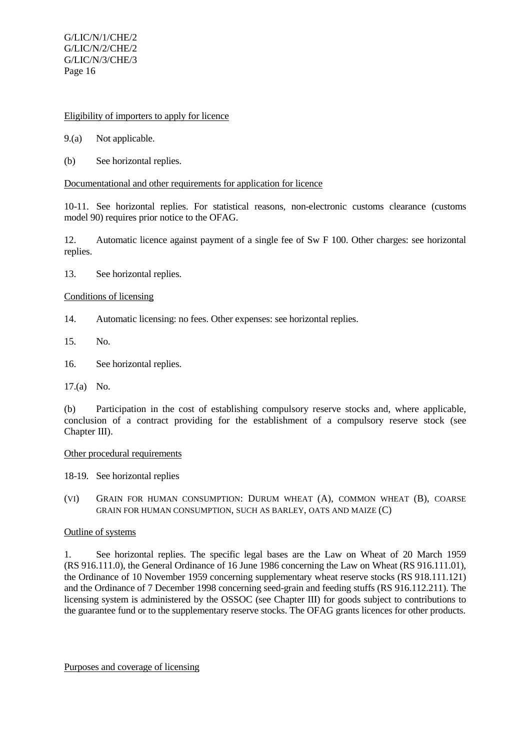## Eligibility of importers to apply for licence

- 9.(a) Not applicable.
- (b) See horizontal replies.

#### Documentational and other requirements for application for licence

10-11. See horizontal replies. For statistical reasons, non-electronic customs clearance (customs model 90) requires prior notice to the OFAG.

12. Automatic licence against payment of a single fee of Sw F 100. Other charges: see horizontal replies.

13. See horizontal replies.

#### Conditions of licensing

- 14. Automatic licensing: no fees. Other expenses: see horizontal replies.
- 15. No.
- 16. See horizontal replies.

17.(a) No.

(b) Participation in the cost of establishing compulsory reserve stocks and, where applicable, conclusion of a contract providing for the establishment of a compulsory reserve stock (see Chapter III).

#### Other procedural requirements

18-19. See horizontal replies

(VI) GRAIN FOR HUMAN CONSUMPTION: DURUM WHEAT (A), COMMON WHEAT (B), COARSE GRAIN FOR HUMAN CONSUMPTION, SUCH AS BARLEY, OATS AND MAIZE (C)

#### Outline of systems

1. See horizontal replies. The specific legal bases are the Law on Wheat of 20 March 1959 (RS 916.111.0), the General Ordinance of 16 June 1986 concerning the Law on Wheat (RS 916.111.01), the Ordinance of 10 November 1959 concerning supplementary wheat reserve stocks (RS 918.111.121) and the Ordinance of 7 December 1998 concerning seed-grain and feeding stuffs (RS 916.112.211). The licensing system is administered by the OSSOC (see Chapter III) for goods subject to contributions to the guarantee fund or to the supplementary reserve stocks. The OFAG grants licences for other products.

Purposes and coverage of licensing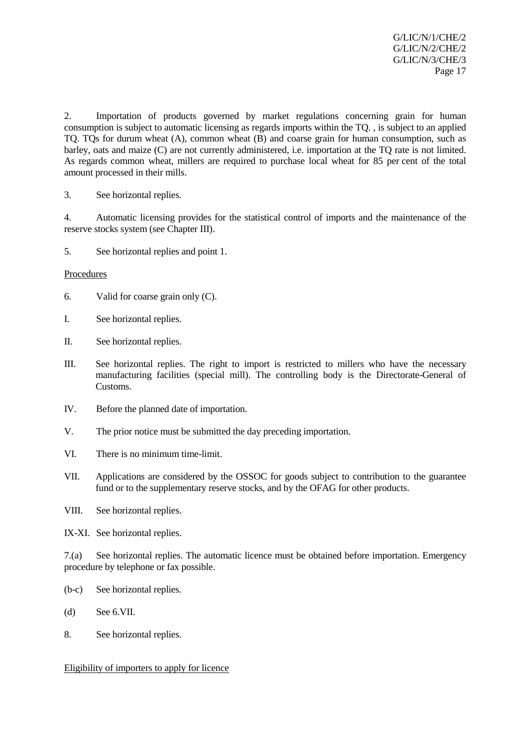2. Importation of products governed by market regulations concerning grain for human consumption is subject to automatic licensing as regards imports within the TQ. , is subject to an applied TQ. TQs for durum wheat (A), common wheat (B) and coarse grain for human consumption, such as barley, oats and maize (C) are not currently administered, i.e. importation at the TQ rate is not limited. As regards common wheat, millers are required to purchase local wheat for 85 per cent of the total amount processed in their mills.

3. See horizontal replies.

4. Automatic licensing provides for the statistical control of imports and the maintenance of the reserve stocks system (see Chapter III).

5. See horizontal replies and point 1.

## Procedures

- 6. Valid for coarse grain only (C).
- I. See horizontal replies.
- II. See horizontal replies.
- III. See horizontal replies. The right to import is restricted to millers who have the necessary manufacturing facilities (special mill). The controlling body is the Directorate-General of Customs.
- IV. Before the planned date of importation.
- V. The prior notice must be submitted the day preceding importation.
- VI. There is no minimum time-limit.
- VII. Applications are considered by the OSSOC for goods subject to contribution to the guarantee fund or to the supplementary reserve stocks, and by the OFAG for other products.
- VIII. See horizontal replies.
- IX-XI. See horizontal replies.

7.(a) See horizontal replies. The automatic licence must be obtained before importation. Emergency procedure by telephone or fax possible.

- (b-c) See horizontal replies.
- (d) See 6.VII.
- 8. See horizontal replies.

Eligibility of importers to apply for licence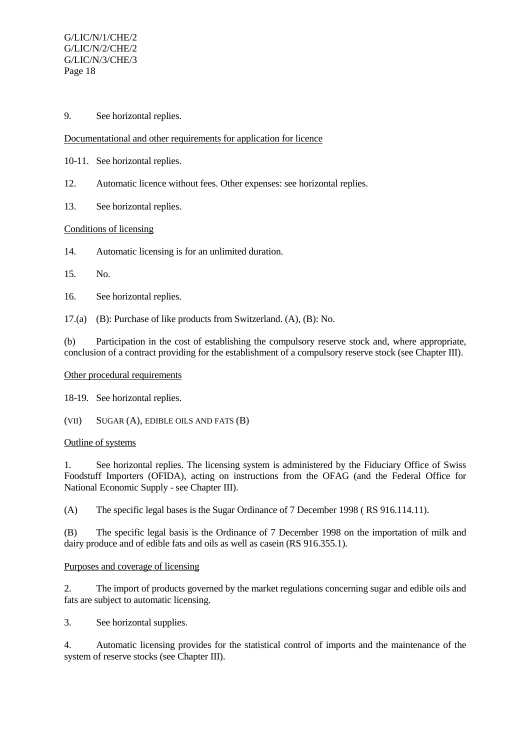9. See horizontal replies.

# Documentational and other requirements for application for licence

- 10-11. See horizontal replies.
- 12. Automatic licence without fees. Other expenses: see horizontal replies.
- 13. See horizontal replies.

## Conditions of licensing

14. Automatic licensing is for an unlimited duration.

## 15. No.

16. See horizontal replies.

17.(a) (B): Purchase of like products from Switzerland. (A), (B): No.

(b) Participation in the cost of establishing the compulsory reserve stock and, where appropriate, conclusion of a contract providing for the establishment of a compulsory reserve stock (see Chapter III).

## Other procedural requirements

18-19. See horizontal replies.

(VII) SUGAR (A), EDIBLE OILS AND FATS (B)

## Outline of systems

1. See horizontal replies. The licensing system is administered by the Fiduciary Office of Swiss Foodstuff Importers (OFIDA), acting on instructions from the OFAG (and the Federal Office for National Economic Supply - see Chapter III).

(A) The specific legal bases is the Sugar Ordinance of 7 December 1998 ( RS 916.114.11).

(B) The specific legal basis is the Ordinance of 7 December 1998 on the importation of milk and dairy produce and of edible fats and oils as well as casein (RS 916.355.1).

## Purposes and coverage of licensing

2. The import of products governed by the market regulations concerning sugar and edible oils and fats are subject to automatic licensing.

3. See horizontal supplies.

4. Automatic licensing provides for the statistical control of imports and the maintenance of the system of reserve stocks (see Chapter III).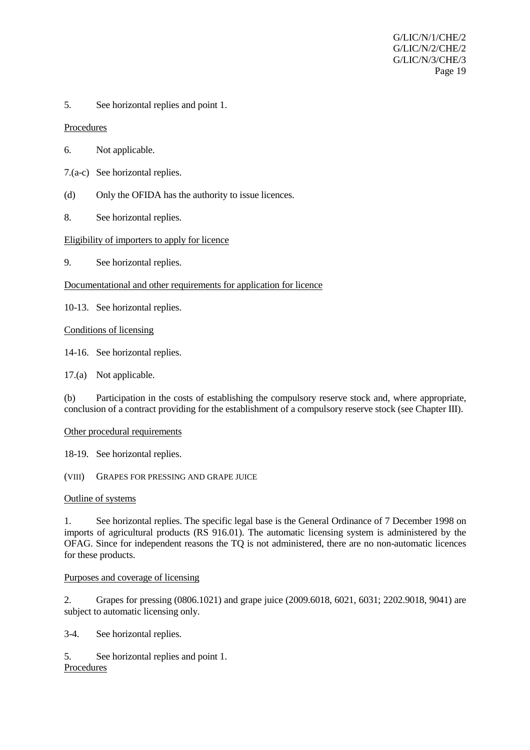5. See horizontal replies and point 1.

Procedures

- 6. Not applicable.
- 7.(a-c) See horizontal replies.
- (d) Only the OFIDA has the authority to issue licences.
- 8. See horizontal replies.

## Eligibility of importers to apply for licence

9. See horizontal replies.

## Documentational and other requirements for application for licence

10-13. See horizontal replies.

Conditions of licensing

14-16. See horizontal replies.

17.(a) Not applicable.

(b) Participation in the costs of establishing the compulsory reserve stock and, where appropriate, conclusion of a contract providing for the establishment of a compulsory reserve stock (see Chapter III).

## Other procedural requirements

18-19. See horizontal replies.

(VIII) GRAPES FOR PRESSING AND GRAPE JUICE

## Outline of systems

1. See horizontal replies. The specific legal base is the General Ordinance of 7 December 1998 on imports of agricultural products (RS 916.01). The automatic licensing system is administered by the OFAG. Since for independent reasons the TQ is not administered, there are no non-automatic licences for these products.

## Purposes and coverage of licensing

2. Grapes for pressing (0806.1021) and grape juice (2009.6018, 6021, 6031; 2202.9018, 9041) are subject to automatic licensing only.

3-4. See horizontal replies.

5. See horizontal replies and point 1. Procedures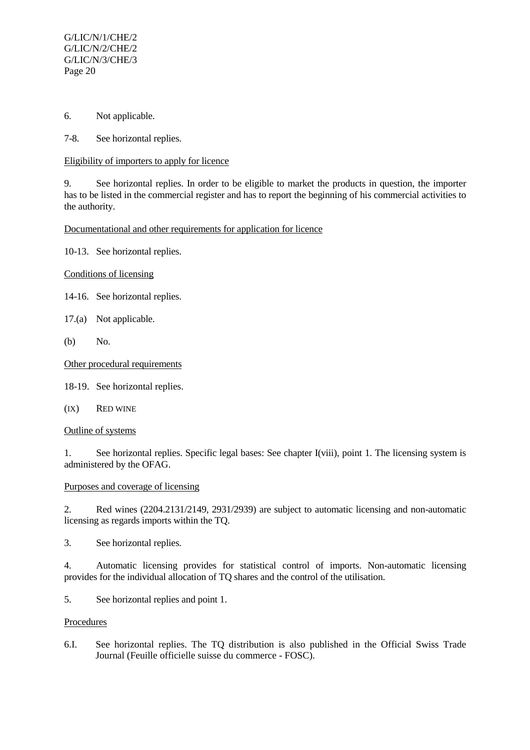- 6. Not applicable.
- 7-8. See horizontal replies.

## Eligibility of importers to apply for licence

9. See horizontal replies. In order to be eligible to market the products in question, the importer has to be listed in the commercial register and has to report the beginning of his commercial activities to the authority.

## Documentational and other requirements for application for licence

10-13. See horizontal replies.

Conditions of licensing

- 14-16. See horizontal replies.
- 17.(a) Not applicable.
- (b) No.

## Other procedural requirements

18-19. See horizontal replies.

(IX) RED WINE

## Outline of systems

1. See horizontal replies. Specific legal bases: See chapter I(viii), point 1. The licensing system is administered by the OFAG.

# Purposes and coverage of licensing

2. Red wines (2204.2131/2149, 2931/2939) are subject to automatic licensing and non-automatic licensing as regards imports within the TQ.

3. See horizontal replies.

4. Automatic licensing provides for statistical control of imports. Non-automatic licensing provides for the individual allocation of TQ shares and the control of the utilisation.

5. See horizontal replies and point 1.

## Procedures

6.I. See horizontal replies. The TQ distribution is also published in the Official Swiss Trade Journal (Feuille officielle suisse du commerce - FOSC).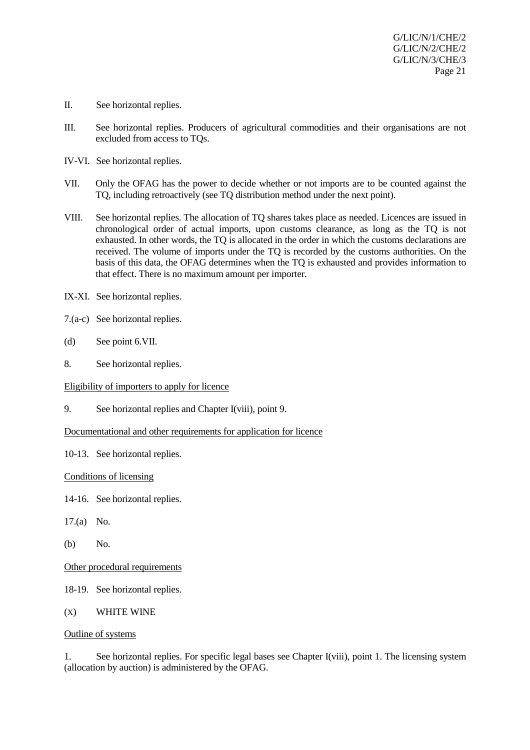- II. See horizontal replies.
- III. See horizontal replies. Producers of agricultural commodities and their organisations are not excluded from access to TQs.
- IV-VI. See horizontal replies.
- VII. Only the OFAG has the power to decide whether or not imports are to be counted against the TQ, including retroactively (see TQ distribution method under the next point).
- VIII. See horizontal replies. The allocation of TQ shares takes place as needed. Licences are issued in chronological order of actual imports, upon customs clearance, as long as the TQ is not exhausted. In other words, the TQ is allocated in the order in which the customs declarations are received. The volume of imports under the TQ is recorded by the customs authorities. On the basis of this data, the OFAG determines when the TQ is exhausted and provides information to that effect. There is no maximum amount per importer.
- IX-XI. See horizontal replies.
- 7.(a-c) See horizontal replies.
- (d) See point 6.VII.
- 8. See horizontal replies.

Eligibility of importers to apply for licence

9. See horizontal replies and Chapter I(viii), point 9.

Documentational and other requirements for application for licence

10-13. See horizontal replies.

#### Conditions of licensing

- 14-16. See horizontal replies.
- 17.(a) No.
- (b) No.

Other procedural requirements

- 18-19. See horizontal replies.
- (X) WHITE WINE

#### Outline of systems

1. See horizontal replies. For specific legal bases see Chapter I(viii), point 1. The licensing system (allocation by auction) is administered by the OFAG.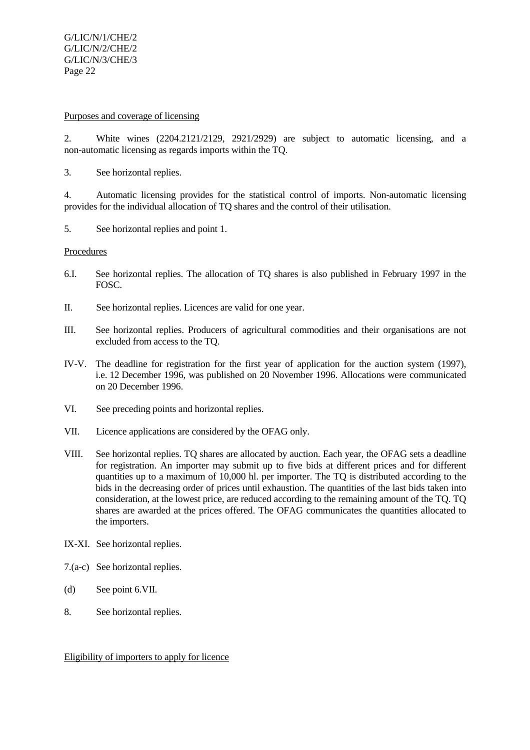## Purposes and coverage of licensing

2. White wines (2204.2121/2129, 2921/2929) are subject to automatic licensing, and a non-automatic licensing as regards imports within the TQ.

3. See horizontal replies.

4. Automatic licensing provides for the statistical control of imports. Non-automatic licensing provides for the individual allocation of TQ shares and the control of their utilisation.

5. See horizontal replies and point 1.

## Procedures

- 6.I. See horizontal replies. The allocation of TQ shares is also published in February 1997 in the FOSC.
- II. See horizontal replies. Licences are valid for one year.
- III. See horizontal replies. Producers of agricultural commodities and their organisations are not excluded from access to the TQ.
- IV-V. The deadline for registration for the first year of application for the auction system (1997), i.e. 12 December 1996, was published on 20 November 1996. Allocations were communicated on 20 December 1996.
- VI. See preceding points and horizontal replies.
- VII. Licence applications are considered by the OFAG only.
- VIII. See horizontal replies. TQ shares are allocated by auction. Each year, the OFAG sets a deadline for registration. An importer may submit up to five bids at different prices and for different quantities up to a maximum of 10,000 hl. per importer. The TQ is distributed according to the bids in the decreasing order of prices until exhaustion. The quantities of the last bids taken into consideration, at the lowest price, are reduced according to the remaining amount of the TQ. TQ shares are awarded at the prices offered. The OFAG communicates the quantities allocated to the importers.
- IX-XI. See horizontal replies.
- 7.(a-c) See horizontal replies.
- (d) See point 6.VII.
- 8. See horizontal replies.

Eligibility of importers to apply for licence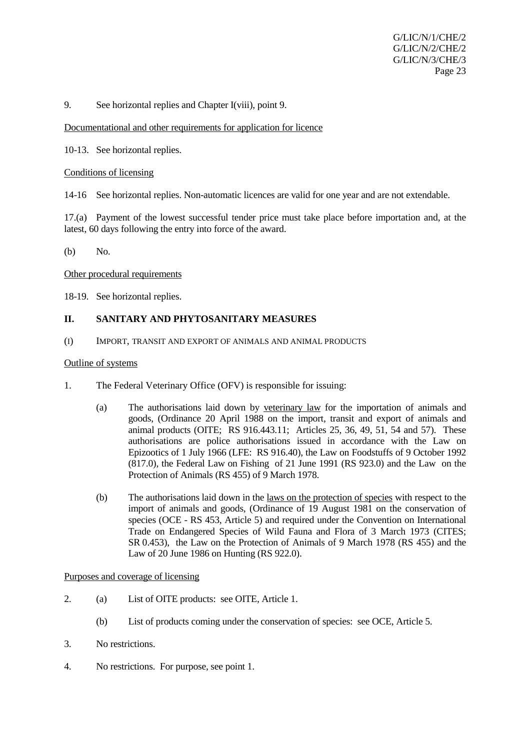## 9. See horizontal replies and Chapter I(viii), point 9.

#### Documentational and other requirements for application for licence

10-13. See horizontal replies.

#### Conditions of licensing

14-16 See horizontal replies. Non-automatic licences are valid for one year and are not extendable.

17.(a) Payment of the lowest successful tender price must take place before importation and, at the latest, 60 days following the entry into force of the award.

(b) No.

#### Other procedural requirements

18-19. See horizontal replies.

#### **II. SANITARY AND PHYTOSANITARY MEASURES**

(I) IMPORT, TRANSIT AND EXPORT OF ANIMALS AND ANIMAL PRODUCTS

#### Outline of systems

- 1. The Federal Veterinary Office (OFV) is responsible for issuing:
	- (a) The authorisations laid down by veterinary law for the importation of animals and goods, (Ordinance 20 April 1988 on the import, transit and export of animals and animal products (OITE; RS 916.443.11; Articles 25, 36, 49, 51, 54 and 57). These authorisations are police authorisations issued in accordance with the Law on Epizootics of 1 July 1966 (LFE: RS 916.40), the Law on Foodstuffs of 9 October 1992 (817.0), the Federal Law on Fishing of 21 June 1991 (RS 923.0) and the Law on the Protection of Animals (RS 455) of 9 March 1978.
	- (b) The authorisations laid down in the laws on the protection of species with respect to the import of animals and goods, (Ordinance of 19 August 1981 on the conservation of species (OCE - RS 453, Article 5) and required under the Convention on International Trade on Endangered Species of Wild Fauna and Flora of 3 March 1973 (CITES; SR 0.453), the Law on the Protection of Animals of 9 March 1978 (RS 455) and the Law of 20 June 1986 on Hunting (RS 922.0).

#### Purposes and coverage of licensing

- 2. (a) List of OITE products: see OITE, Article 1.
	- (b) List of products coming under the conservation of species: see OCE, Article 5.
- 3. No restrictions.
- 4. No restrictions. For purpose, see point 1.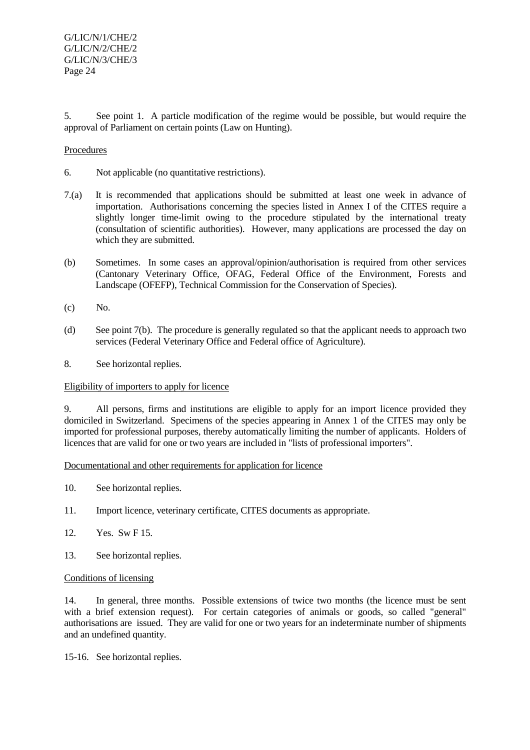5. See point 1. A particle modification of the regime would be possible, but would require the approval of Parliament on certain points (Law on Hunting).

## Procedures

- 6. Not applicable (no quantitative restrictions).
- 7.(a) It is recommended that applications should be submitted at least one week in advance of importation. Authorisations concerning the species listed in Annex I of the CITES require a slightly longer time-limit owing to the procedure stipulated by the international treaty (consultation of scientific authorities). However, many applications are processed the day on which they are submitted.
- (b) Sometimes. In some cases an approval/opinion/authorisation is required from other services (Cantonary Veterinary Office, OFAG, Federal Office of the Environment, Forests and Landscape (OFEFP), Technical Commission for the Conservation of Species).
- (c) No.
- (d) See point 7(b). The procedure is generally regulated so that the applicant needs to approach two services (Federal Veterinary Office and Federal office of Agriculture).
- 8. See horizontal replies.

## Eligibility of importers to apply for licence

9. All persons, firms and institutions are eligible to apply for an import licence provided they domiciled in Switzerland. Specimens of the species appearing in Annex 1 of the CITES may only be imported for professional purposes, thereby automatically limiting the number of applicants. Holders of licences that are valid for one or two years are included in "lists of professional importers".

## Documentational and other requirements for application for licence

- 10. See horizontal replies.
- 11. Import licence, veterinary certificate, CITES documents as appropriate.
- 12. Yes. Sw F 15.
- 13. See horizontal replies.

## Conditions of licensing

14. In general, three months. Possible extensions of twice two months (the licence must be sent with a brief extension request). For certain categories of animals or goods, so called "general" authorisations are issued. They are valid for one or two years for an indeterminate number of shipments and an undefined quantity.

15-16. See horizontal replies.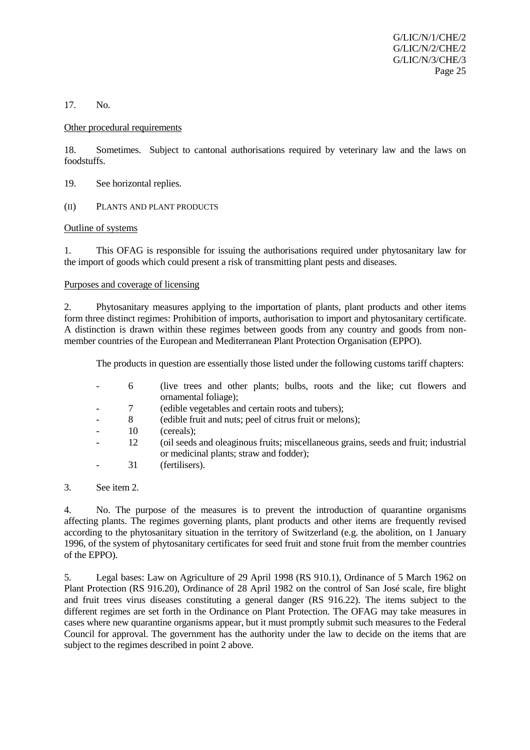17. No.

#### Other procedural requirements

18. Sometimes. Subject to cantonal authorisations required by veterinary law and the laws on foodstuffs.

- 19. See horizontal replies.
- (II) PLANTS AND PLANT PRODUCTS

## Outline of systems

1. This OFAG is responsible for issuing the authorisations required under phytosanitary law for the import of goods which could present a risk of transmitting plant pests and diseases.

Purposes and coverage of licensing

2. Phytosanitary measures applying to the importation of plants, plant products and other items form three distinct regimes: Prohibition of imports, authorisation to import and phytosanitary certificate. A distinction is drawn within these regimes between goods from any country and goods from nonmember countries of the European and Mediterranean Plant Protection Organisation (EPPO).

The products in question are essentially those listed under the following customs tariff chapters:

| 6  | (live trees and other plants; bulbs, roots and the like; cut flowers and            |
|----|-------------------------------------------------------------------------------------|
|    | ornamental foliage);                                                                |
|    | (edible vegetables and certain roots and tubers);                                   |
| 8  | (edible fruit and nuts; peel of citrus fruit or melons);                            |
| 10 | (cereals);                                                                          |
| 12 | (oil seeds and oleaginous fruits; miscellaneous grains, seeds and fruit; industrial |
|    | or medicinal plants; straw and fodder);                                             |
|    | (fertilisers).                                                                      |

3. See item 2.

4. No. The purpose of the measures is to prevent the introduction of quarantine organisms affecting plants. The regimes governing plants, plant products and other items are frequently revised according to the phytosanitary situation in the territory of Switzerland (e.g. the abolition, on 1 January 1996, of the system of phytosanitary certificates for seed fruit and stone fruit from the member countries of the EPPO).

5. Legal bases: Law on Agriculture of 29 April 1998 (RS 910.1), Ordinance of 5 March 1962 on Plant Protection (RS 916.20), Ordinance of 28 April 1982 on the control of San José scale, fire blight and fruit trees virus diseases constituting a general danger (RS 916.22). The items subject to the different regimes are set forth in the Ordinance on Plant Protection. The OFAG may take measures in cases where new quarantine organisms appear, but it must promptly submit such measures to the Federal Council for approval. The government has the authority under the law to decide on the items that are subject to the regimes described in point 2 above.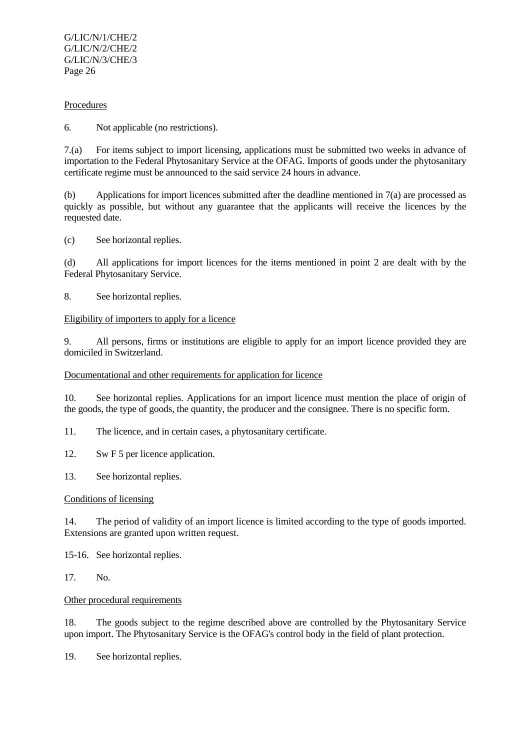## Procedures

6. Not applicable (no restrictions).

7.(a) For items subject to import licensing, applications must be submitted two weeks in advance of importation to the Federal Phytosanitary Service at the OFAG. Imports of goods under the phytosanitary certificate regime must be announced to the said service 24 hours in advance.

(b) Applications for import licences submitted after the deadline mentioned in 7(a) are processed as quickly as possible, but without any guarantee that the applicants will receive the licences by the requested date.

(c) See horizontal replies.

(d) All applications for import licences for the items mentioned in point 2 are dealt with by the Federal Phytosanitary Service.

8. See horizontal replies.

## Eligibility of importers to apply for a licence

9. All persons, firms or institutions are eligible to apply for an import licence provided they are domiciled in Switzerland.

## Documentational and other requirements for application for licence

10. See horizontal replies. Applications for an import licence must mention the place of origin of the goods, the type of goods, the quantity, the producer and the consignee. There is no specific form.

11. The licence, and in certain cases, a phytosanitary certificate.

12. Sw F 5 per licence application.

13. See horizontal replies.

## Conditions of licensing

14. The period of validity of an import licence is limited according to the type of goods imported. Extensions are granted upon written request.

15-16. See horizontal replies.

17. No.

## Other procedural requirements

18. The goods subject to the regime described above are controlled by the Phytosanitary Service upon import. The Phytosanitary Service is the OFAG's control body in the field of plant protection.

19. See horizontal replies.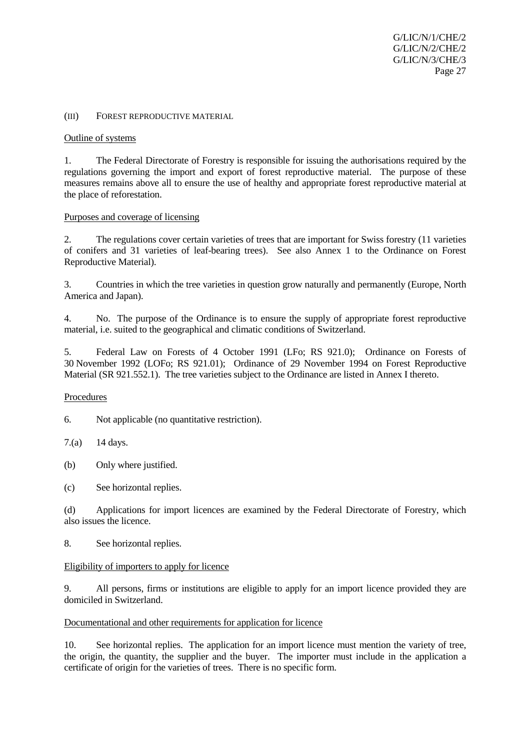#### (III) FOREST REPRODUCTIVE MATERIAL

#### Outline of systems

1. The Federal Directorate of Forestry is responsible for issuing the authorisations required by the regulations governing the import and export of forest reproductive material. The purpose of these measures remains above all to ensure the use of healthy and appropriate forest reproductive material at the place of reforestation.

#### Purposes and coverage of licensing

2. The regulations cover certain varieties of trees that are important for Swiss forestry (11 varieties of conifers and 31 varieties of leaf-bearing trees). See also Annex 1 to the Ordinance on Forest Reproductive Material).

3. Countries in which the tree varieties in question grow naturally and permanently (Europe, North America and Japan).

4. No. The purpose of the Ordinance is to ensure the supply of appropriate forest reproductive material, i.e. suited to the geographical and climatic conditions of Switzerland.

5. Federal Law on Forests of 4 October 1991 (LFo; RS 921.0); Ordinance on Forests of 30 November 1992 (LOFo; RS 921.01); Ordinance of 29 November 1994 on Forest Reproductive Material (SR 921.552.1). The tree varieties subject to the Ordinance are listed in Annex I thereto.

#### Procedures

6. Not applicable (no quantitative restriction).

7.(a) 14 days.

(b) Only where justified.

(c) See horizontal replies.

(d) Applications for import licences are examined by the Federal Directorate of Forestry, which also issues the licence.

## 8. See horizontal replies.

## Eligibility of importers to apply for licence

9. All persons, firms or institutions are eligible to apply for an import licence provided they are domiciled in Switzerland.

#### Documentational and other requirements for application for licence

10. See horizontal replies. The application for an import licence must mention the variety of tree, the origin, the quantity, the supplier and the buyer. The importer must include in the application a certificate of origin for the varieties of trees. There is no specific form.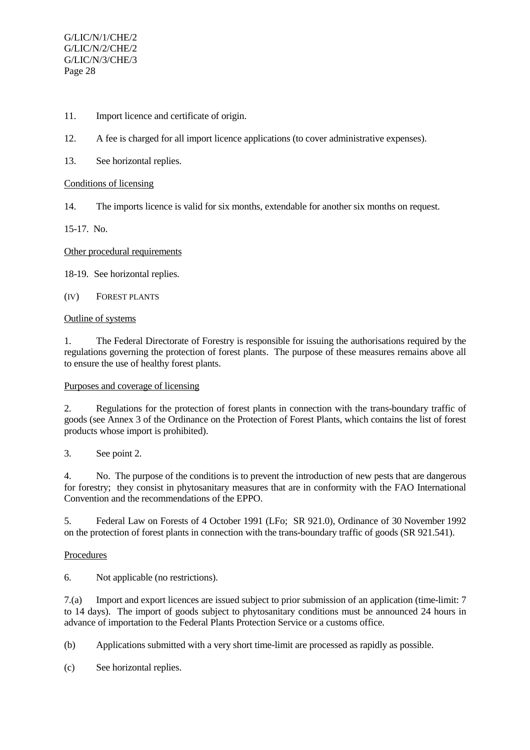- 11. Import licence and certificate of origin.
- 12. A fee is charged for all import licence applications (to cover administrative expenses).
- 13. See horizontal replies.

# Conditions of licensing

14. The imports licence is valid for six months, extendable for another six months on request.

15-17. No.

# Other procedural requirements

18-19. See horizontal replies.

(IV) FOREST PLANTS

## Outline of systems

1. The Federal Directorate of Forestry is responsible for issuing the authorisations required by the regulations governing the protection of forest plants. The purpose of these measures remains above all to ensure the use of healthy forest plants.

# Purposes and coverage of licensing

2. Regulations for the protection of forest plants in connection with the trans-boundary traffic of goods (see Annex 3 of the Ordinance on the Protection of Forest Plants, which contains the list of forest products whose import is prohibited).

3. See point 2.

4. No. The purpose of the conditions is to prevent the introduction of new pests that are dangerous for forestry; they consist in phytosanitary measures that are in conformity with the FAO International Convention and the recommendations of the EPPO.

5. Federal Law on Forests of 4 October 1991 (LFo; SR 921.0), Ordinance of 30 November 1992 on the protection of forest plants in connection with the trans-boundary traffic of goods (SR 921.541).

# Procedures

6. Not applicable (no restrictions).

7.(a) Import and export licences are issued subject to prior submission of an application (time-limit: 7 to 14 days). The import of goods subject to phytosanitary conditions must be announced 24 hours in advance of importation to the Federal Plants Protection Service or a customs office.

(b) Applications submitted with a very short time-limit are processed as rapidly as possible.

(c) See horizontal replies.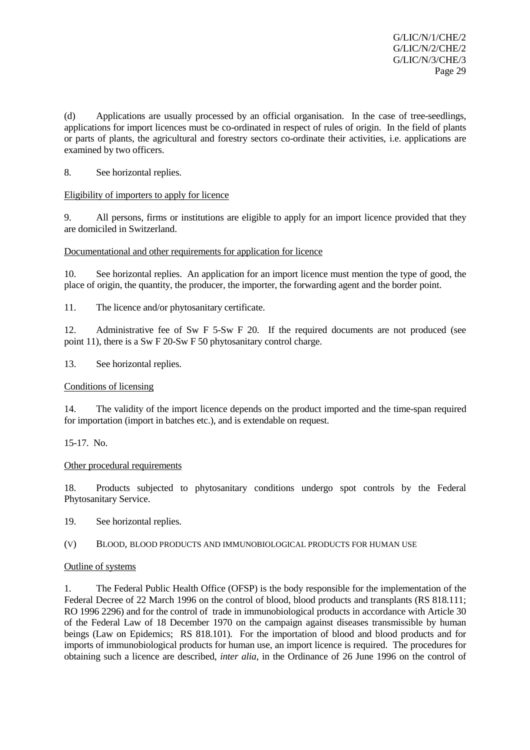(d) Applications are usually processed by an official organisation. In the case of tree-seedlings, applications for import licences must be co-ordinated in respect of rules of origin. In the field of plants or parts of plants, the agricultural and forestry sectors co-ordinate their activities, i.e. applications are examined by two officers.

8. See horizontal replies.

## Eligibility of importers to apply for licence

9. All persons, firms or institutions are eligible to apply for an import licence provided that they are domiciled in Switzerland.

## Documentational and other requirements for application for licence

10. See horizontal replies. An application for an import licence must mention the type of good, the place of origin, the quantity, the producer, the importer, the forwarding agent and the border point.

11. The licence and/or phytosanitary certificate.

12. Administrative fee of Sw F 5-Sw F 20. If the required documents are not produced (see point 11), there is a Sw F 20-Sw F 50 phytosanitary control charge.

13. See horizontal replies.

## Conditions of licensing

14. The validity of the import licence depends on the product imported and the time-span required for importation (import in batches etc.), and is extendable on request.

15-17. No.

## Other procedural requirements

18. Products subjected to phytosanitary conditions undergo spot controls by the Federal Phytosanitary Service.

19. See horizontal replies.

(V) BLOOD, BLOOD PRODUCTS AND IMMUNOBIOLOGICAL PRODUCTS FOR HUMAN USE

## Outline of systems

1. The Federal Public Health Office (OFSP) is the body responsible for the implementation of the Federal Decree of 22 March 1996 on the control of blood, blood products and transplants (RS 818.111; RO 1996 2296) and for the control of trade in immunobiological products in accordance with Article 30 of the Federal Law of 18 December 1970 on the campaign against diseases transmissible by human beings (Law on Epidemics; RS 818.101). For the importation of blood and blood products and for imports of immunobiological products for human use, an import licence is required. The procedures for obtaining such a licence are described, *inter alia*, in the Ordinance of 26 June 1996 on the control of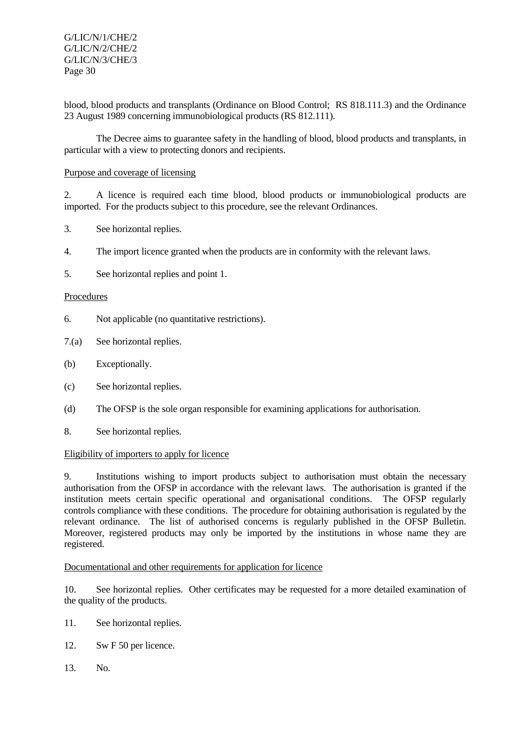blood, blood products and transplants (Ordinance on Blood Control; RS 818.111.3) and the Ordinance 23 August 1989 concerning immunobiological products (RS 812.111).

The Decree aims to guarantee safety in the handling of blood, blood products and transplants, in particular with a view to protecting donors and recipients.

## Purpose and coverage of licensing

2. A licence is required each time blood, blood products or immunobiological products are imported. For the products subject to this procedure, see the relevant Ordinances.

- 3. See horizontal replies.
- 4. The import licence granted when the products are in conformity with the relevant laws.
- 5. See horizontal replies and point 1.

## **Procedures**

- 6. Not applicable (no quantitative restrictions).
- 7.(a) See horizontal replies.
- (b) Exceptionally.
- (c) See horizontal replies.
- (d) The OFSP is the sole organ responsible for examining applications for authorisation.
- 8. See horizontal replies.

## Eligibility of importers to apply for licence

9. Institutions wishing to import products subject to authorisation must obtain the necessary authorisation from the OFSP in accordance with the relevant laws. The authorisation is granted if the institution meets certain specific operational and organisational conditions. The OFSP regularly controls compliance with these conditions. The procedure for obtaining authorisation is regulated by the relevant ordinance. The list of authorised concerns is regularly published in the OFSP Bulletin. Moreover, registered products may only be imported by the institutions in whose name they are registered.

## Documentational and other requirements for application for licence

10. See horizontal replies. Other certificates may be requested for a more detailed examination of the quality of the products.

- 11. See horizontal replies.
- 12. Sw F 50 per licence.
- 13. No.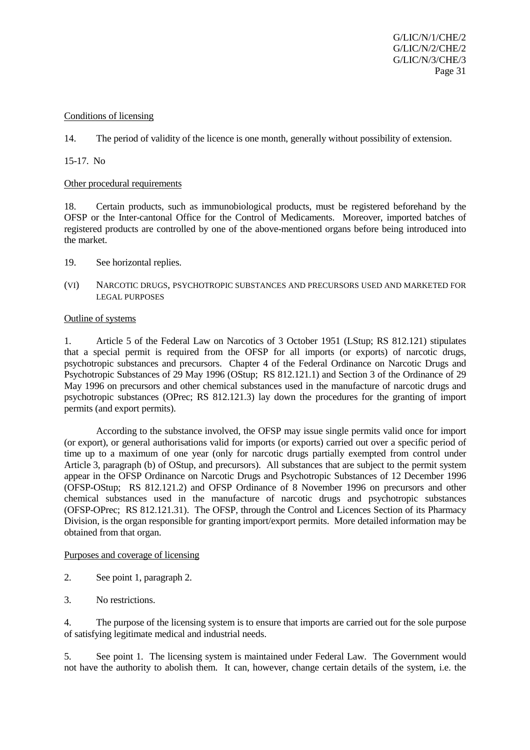#### Conditions of licensing

14. The period of validity of the licence is one month, generally without possibility of extension.

15-17. No

#### Other procedural requirements

18. Certain products, such as immunobiological products, must be registered beforehand by the OFSP or the Inter-cantonal Office for the Control of Medicaments. Moreover, imported batches of registered products are controlled by one of the above-mentioned organs before being introduced into the market.

- 19. See horizontal replies.
- (VI) NARCOTIC DRUGS, PSYCHOTROPIC SUBSTANCES AND PRECURSORS USED AND MARKETED FOR LEGAL PURPOSES

#### Outline of systems

1. Article 5 of the Federal Law on Narcotics of 3 October 1951 (LStup; RS 812.121) stipulates that a special permit is required from the OFSP for all imports (or exports) of narcotic drugs, psychotropic substances and precursors. Chapter 4 of the Federal Ordinance on Narcotic Drugs and Psychotropic Substances of 29 May 1996 (OStup; RS 812.121.1) and Section 3 of the Ordinance of 29 May 1996 on precursors and other chemical substances used in the manufacture of narcotic drugs and psychotropic substances (OPrec; RS 812.121.3) lay down the procedures for the granting of import permits (and export permits).

According to the substance involved, the OFSP may issue single permits valid once for import (or export), or general authorisations valid for imports (or exports) carried out over a specific period of time up to a maximum of one year (only for narcotic drugs partially exempted from control under Article 3, paragraph (b) of OStup, and precursors). All substances that are subject to the permit system appear in the OFSP Ordinance on Narcotic Drugs and Psychotropic Substances of 12 December 1996 (OFSP-OStup; RS 812.121.2) and OFSP Ordinance of 8 November 1996 on precursors and other chemical substances used in the manufacture of narcotic drugs and psychotropic substances (OFSP-OPrec; RS 812.121.31). The OFSP, through the Control and Licences Section of its Pharmacy Division, is the organ responsible for granting import/export permits. More detailed information may be obtained from that organ.

## Purposes and coverage of licensing

- 2. See point 1, paragraph 2.
- 3. No restrictions.

4. The purpose of the licensing system is to ensure that imports are carried out for the sole purpose of satisfying legitimate medical and industrial needs.

5. See point 1. The licensing system is maintained under Federal Law. The Government would not have the authority to abolish them. It can, however, change certain details of the system, i.e. the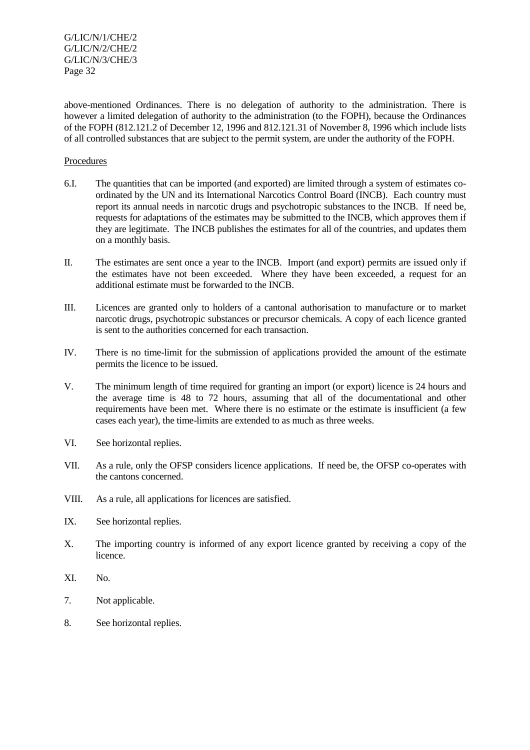above-mentioned Ordinances. There is no delegation of authority to the administration. There is however a limited delegation of authority to the administration (to the FOPH), because the Ordinances of the FOPH (812.121.2 of December 12, 1996 and 812.121.31 of November 8, 1996 which include lists of all controlled substances that are subject to the permit system, are under the authority of the FOPH.

#### Procedures

- 6.I. The quantities that can be imported (and exported) are limited through a system of estimates coordinated by the UN and its International Narcotics Control Board (INCB). Each country must report its annual needs in narcotic drugs and psychotropic substances to the INCB. If need be, requests for adaptations of the estimates may be submitted to the INCB, which approves them if they are legitimate. The INCB publishes the estimates for all of the countries, and updates them on a monthly basis.
- II. The estimates are sent once a year to the INCB. Import (and export) permits are issued only if the estimates have not been exceeded. Where they have been exceeded, a request for an additional estimate must be forwarded to the INCB.
- III. Licences are granted only to holders of a cantonal authorisation to manufacture or to market narcotic drugs, psychotropic substances or precursor chemicals. A copy of each licence granted is sent to the authorities concerned for each transaction.
- IV. There is no time-limit for the submission of applications provided the amount of the estimate permits the licence to be issued.
- V. The minimum length of time required for granting an import (or export) licence is 24 hours and the average time is 48 to 72 hours, assuming that all of the documentational and other requirements have been met. Where there is no estimate or the estimate is insufficient (a few cases each year), the time-limits are extended to as much as three weeks.
- VI. See horizontal replies.
- VII. As a rule, only the OFSP considers licence applications. If need be, the OFSP co-operates with the cantons concerned.
- VIII. As a rule, all applications for licences are satisfied.
- IX. See horizontal replies.
- X. The importing country is informed of any export licence granted by receiving a copy of the licence.
- XI. No.
- 7. Not applicable.
- 8. See horizontal replies.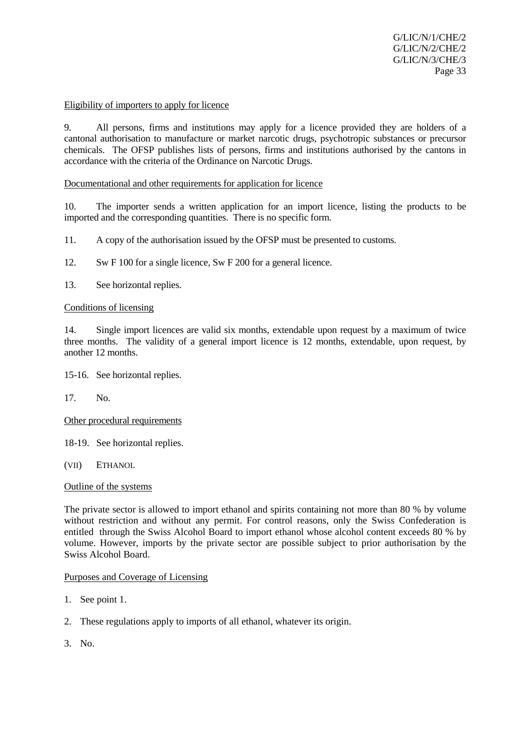#### Eligibility of importers to apply for licence

9. All persons, firms and institutions may apply for a licence provided they are holders of a cantonal authorisation to manufacture or market narcotic drugs, psychotropic substances or precursor chemicals. The OFSP publishes lists of persons, firms and institutions authorised by the cantons in accordance with the criteria of the Ordinance on Narcotic Drugs.

#### Documentational and other requirements for application for licence

10. The importer sends a written application for an import licence, listing the products to be imported and the corresponding quantities. There is no specific form.

11. A copy of the authorisation issued by the OFSP must be presented to customs.

12. Sw F 100 for a single licence, Sw F 200 for a general licence.

13. See horizontal replies.

#### Conditions of licensing

14. Single import licences are valid six months, extendable upon request by a maximum of twice three months. The validity of a general import licence is 12 months, extendable, upon request, by another 12 months.

15-16. See horizontal replies.

17. No.

Other procedural requirements

18-19. See horizontal replies.

(VII) ETHANOL

Outline of the systems

The private sector is allowed to import ethanol and spirits containing not more than 80 % by volume without restriction and without any permit. For control reasons, only the Swiss Confederation is entitled through the Swiss Alcohol Board to import ethanol whose alcohol content exceeds 80 % by volume. However, imports by the private sector are possible subject to prior authorisation by the Swiss Alcohol Board.

#### Purposes and Coverage of Licensing

- 1. See point 1.
- 2. These regulations apply to imports of all ethanol, whatever its origin.
- 3. No.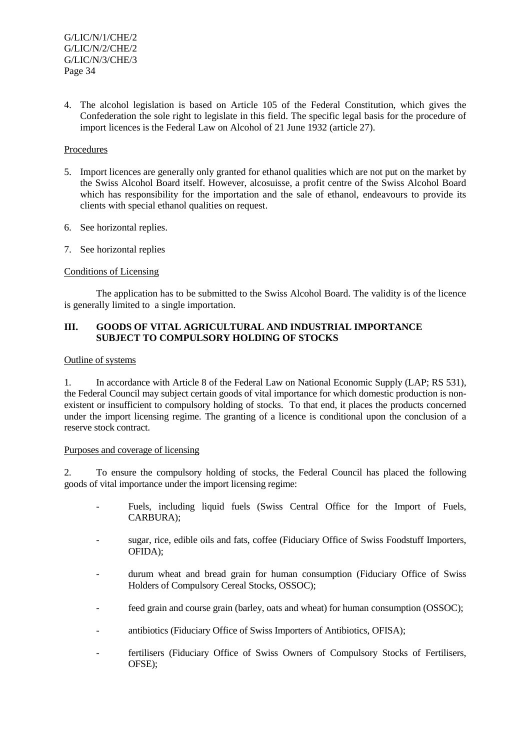4. The alcohol legislation is based on Article 105 of the Federal Constitution, which gives the Confederation the sole right to legislate in this field. The specific legal basis for the procedure of import licences is the Federal Law on Alcohol of 21 June 1932 (article 27).

# Procedures

- 5. Import licences are generally only granted for ethanol qualities which are not put on the market by the Swiss Alcohol Board itself. However, alcosuisse, a profit centre of the Swiss Alcohol Board which has responsibility for the importation and the sale of ethanol, endeavours to provide its clients with special ethanol qualities on request.
- 6. See horizontal replies.
- 7. See horizontal replies

## Conditions of Licensing

 The application has to be submitted to the Swiss Alcohol Board. The validity is of the licence is generally limited to a single importation.

## **III. GOODS OF VITAL AGRICULTURAL AND INDUSTRIAL IMPORTANCE SUBJECT TO COMPULSORY HOLDING OF STOCKS**

#### Outline of systems

1. In accordance with Article 8 of the Federal Law on National Economic Supply (LAP; RS 531), the Federal Council may subject certain goods of vital importance for which domestic production is nonexistent or insufficient to compulsory holding of stocks. To that end, it places the products concerned under the import licensing regime. The granting of a licence is conditional upon the conclusion of a reserve stock contract.

## Purposes and coverage of licensing

2. To ensure the compulsory holding of stocks, the Federal Council has placed the following goods of vital importance under the import licensing regime:

- Fuels, including liquid fuels (Swiss Central Office for the Import of Fuels, CARBURA);
- sugar, rice, edible oils and fats, coffee (Fiduciary Office of Swiss Foodstuff Importers, OFIDA);
- durum wheat and bread grain for human consumption (Fiduciary Office of Swiss Holders of Compulsory Cereal Stocks, OSSOC);
- feed grain and course grain (barley, oats and wheat) for human consumption (OSSOC);
- antibiotics (Fiduciary Office of Swiss Importers of Antibiotics, OFISA);
- fertilisers (Fiduciary Office of Swiss Owners of Compulsory Stocks of Fertilisers, OFSE);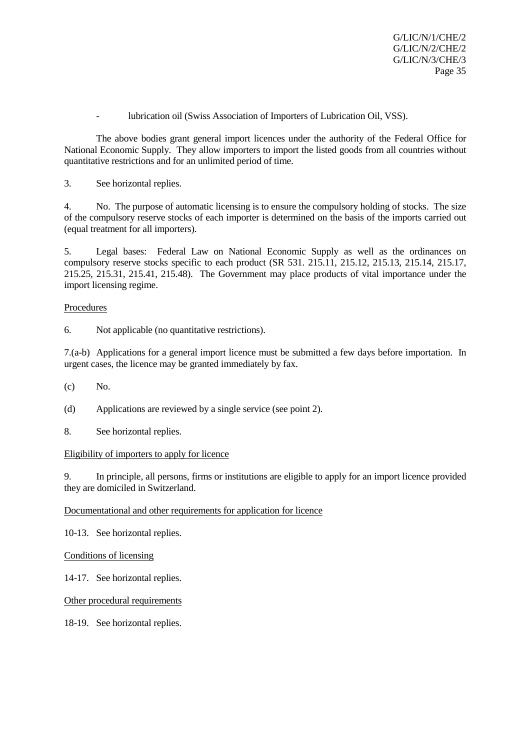- lubrication oil (Swiss Association of Importers of Lubrication Oil, VSS).

The above bodies grant general import licences under the authority of the Federal Office for National Economic Supply. They allow importers to import the listed goods from all countries without quantitative restrictions and for an unlimited period of time.

3. See horizontal replies.

4. No. The purpose of automatic licensing is to ensure the compulsory holding of stocks. The size of the compulsory reserve stocks of each importer is determined on the basis of the imports carried out (equal treatment for all importers).

5. Legal bases: Federal Law on National Economic Supply as well as the ordinances on compulsory reserve stocks specific to each product (SR 531. 215.11, 215.12, 215.13, 215.14, 215.17, 215.25, 215.31, 215.41, 215.48). The Government may place products of vital importance under the import licensing regime.

## Procedures

6. Not applicable (no quantitative restrictions).

7.(a-b) Applications for a general import licence must be submitted a few days before importation. In urgent cases, the licence may be granted immediately by fax.

(c) No.

(d) Applications are reviewed by a single service (see point 2).

8. See horizontal replies.

## Eligibility of importers to apply for licence

9. In principle, all persons, firms or institutions are eligible to apply for an import licence provided they are domiciled in Switzerland.

Documentational and other requirements for application for licence

10-13. See horizontal replies.

## Conditions of licensing

14-17. See horizontal replies.

Other procedural requirements

18-19. See horizontal replies.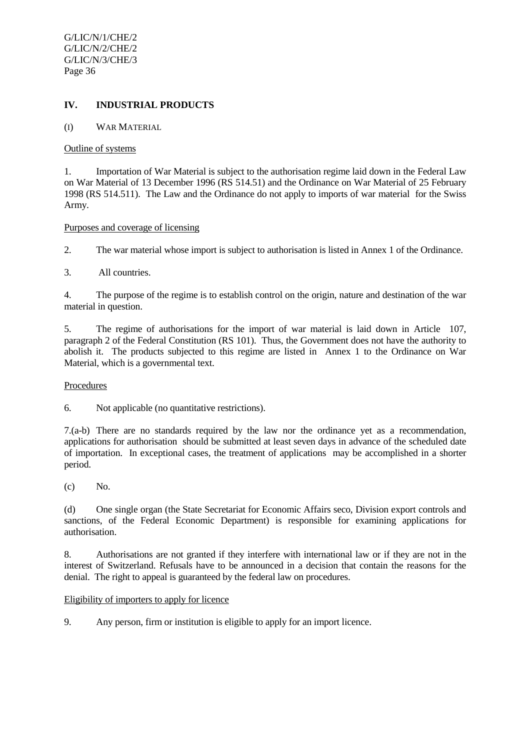# **IV. INDUSTRIAL PRODUCTS**

(I) WAR MATERIAL

#### Outline of systems

1. Importation of War Material is subject to the authorisation regime laid down in the Federal Law on War Material of 13 December 1996 (RS 514.51) and the Ordinance on War Material of 25 February 1998 (RS 514.511). The Law and the Ordinance do not apply to imports of war material for the Swiss Army.

#### Purposes and coverage of licensing

2. The war material whose import is subject to authorisation is listed in Annex 1 of the Ordinance.

3. All countries.

4. The purpose of the regime is to establish control on the origin, nature and destination of the war material in question.

5. The regime of authorisations for the import of war material is laid down in Article 107, paragraph 2 of the Federal Constitution (RS 101). Thus, the Government does not have the authority to abolish it. The products subjected to this regime are listed in Annex 1 to the Ordinance on War Material, which is a governmental text.

## Procedures

6. Not applicable (no quantitative restrictions).

7.(a-b) There are no standards required by the law nor the ordinance yet as a recommendation, applications for authorisation should be submitted at least seven days in advance of the scheduled date of importation. In exceptional cases, the treatment of applications may be accomplished in a shorter period.

(c) No.

(d) One single organ (the State Secretariat for Economic Affairs seco, Division export controls and sanctions, of the Federal Economic Department) is responsible for examining applications for authorisation.

8. Authorisations are not granted if they interfere with international law or if they are not in the interest of Switzerland. Refusals have to be announced in a decision that contain the reasons for the denial. The right to appeal is guaranteed by the federal law on procedures.

## Eligibility of importers to apply for licence

9. Any person, firm or institution is eligible to apply for an import licence.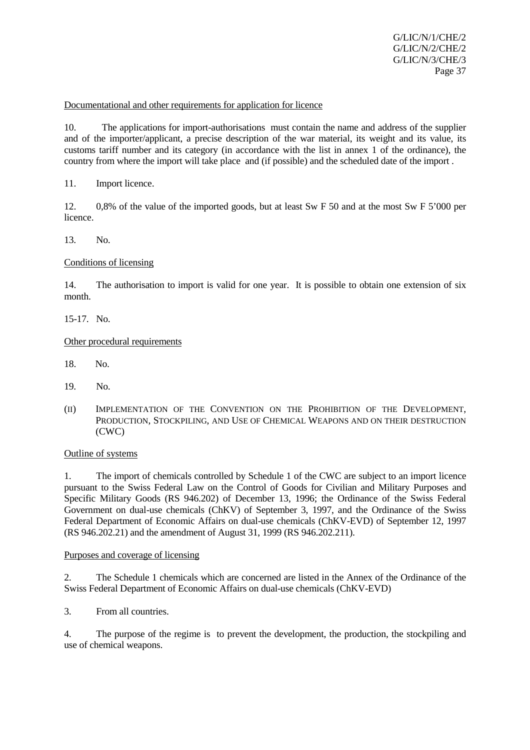Documentational and other requirements for application for licence

10. The applications for import-authorisations must contain the name and address of the supplier and of the importer/applicant, a precise description of the war material, its weight and its value, its customs tariff number and its category (in accordance with the list in annex 1 of the ordinance), the country from where the import will take place and (if possible) and the scheduled date of the import .

11. Import licence.

12. 0,8% of the value of the imported goods, but at least Sw F 50 and at the most Sw F 5'000 per licence.

13. No.

## Conditions of licensing

14. The authorisation to import is valid for one year. It is possible to obtain one extension of six month.

15-17. No.

## Other procedural requirements

- 18. No.
- 19. No.
- (II) IMPLEMENTATION OF THE CONVENTION ON THE PROHIBITION OF THE DEVELOPMENT, PRODUCTION, STOCKPILING, AND USE OF CHEMICAL WEAPONS AND ON THEIR DESTRUCTION (CWC)

## Outline of systems

1. The import of chemicals controlled by Schedule 1 of the CWC are subject to an import licence pursuant to the Swiss Federal Law on the Control of Goods for Civilian and Military Purposes and Specific Military Goods (RS 946.202) of December 13, 1996; the Ordinance of the Swiss Federal Government on dual-use chemicals (ChKV) of September 3, 1997, and the Ordinance of the Swiss Federal Department of Economic Affairs on dual-use chemicals (ChKV-EVD) of September 12, 1997 (RS 946.202.21) and the amendment of August 31, 1999 (RS 946.202.211).

## Purposes and coverage of licensing

2. The Schedule 1 chemicals which are concerned are listed in the Annex of the Ordinance of the Swiss Federal Department of Economic Affairs on dual-use chemicals (ChKV-EVD)

3. From all countries.

4. The purpose of the regime is to prevent the development, the production, the stockpiling and use of chemical weapons.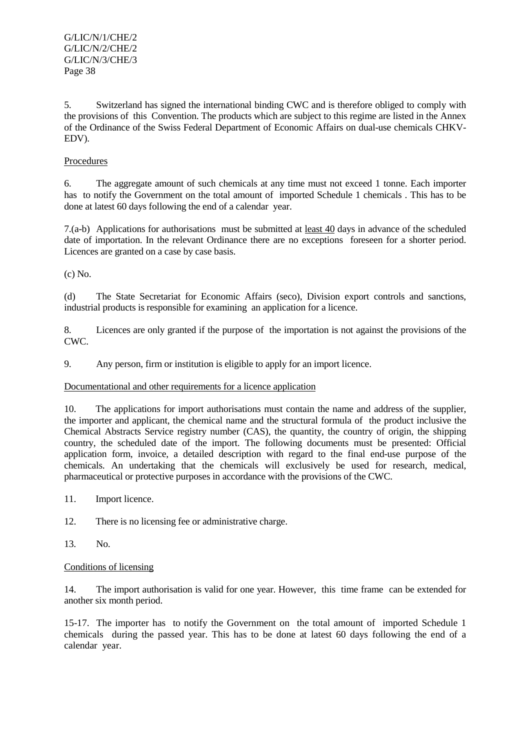5. Switzerland has signed the international binding CWC and is therefore obliged to comply with the provisions of this Convention. The products which are subject to this regime are listed in the Annex of the Ordinance of the Swiss Federal Department of Economic Affairs on dual-use chemicals CHKV-EDV).

# Procedures

6. The aggregate amount of such chemicals at any time must not exceed 1 tonne. Each importer has to notify the Government on the total amount of imported Schedule 1 chemicals . This has to be done at latest 60 days following the end of a calendar year.

7.(a-b) Applications for authorisations must be submitted at least 40 days in advance of the scheduled date of importation. In the relevant Ordinance there are no exceptions foreseen for a shorter period. Licences are granted on a case by case basis.

(c) No.

(d) The State Secretariat for Economic Affairs (seco), Division export controls and sanctions, industrial products is responsible for examining an application for a licence.

8. Licences are only granted if the purpose of the importation is not against the provisions of the CWC.

9. Any person, firm or institution is eligible to apply for an import licence.

# Documentational and other requirements for a licence application

10. The applications for import authorisations must contain the name and address of the supplier, the importer and applicant, the chemical name and the structural formula of the product inclusive the Chemical Abstracts Service registry number (CAS), the quantity, the country of origin, the shipping country, the scheduled date of the import. The following documents must be presented: Official application form, invoice, a detailed description with regard to the final end-use purpose of the chemicals. An undertaking that the chemicals will exclusively be used for research, medical, pharmaceutical or protective purposes in accordance with the provisions of the CWC.

11. Import licence.

12. There is no licensing fee or administrative charge.

13. No.

# Conditions of licensing

14. The import authorisation is valid for one year. However, this time frame can be extended for another six month period.

15-17. The importer has to notify the Government on the total amount of imported Schedule 1 chemicals during the passed year. This has to be done at latest 60 days following the end of a calendar year.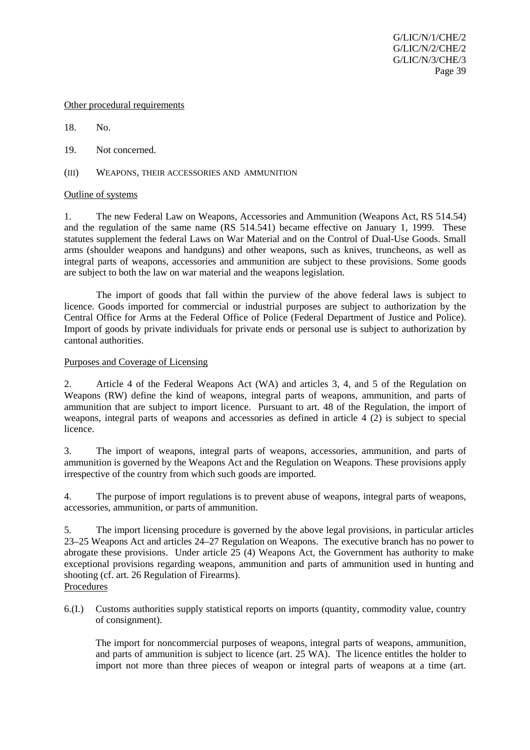#### Other procedural requirements

18. No.

19. Not concerned.

(III) WEAPONS, THEIR ACCESSORIES AND AMMUNITION

## Outline of systems

1. The new Federal Law on Weapons, Accessories and Ammunition (Weapons Act, RS 514.54) and the regulation of the same name (RS 514.541) became effective on January 1, 1999. These statutes supplement the federal Laws on War Material and on the Control of Dual-Use Goods. Small arms (shoulder weapons and handguns) and other weapons, such as knives, truncheons, as well as integral parts of weapons, accessories and ammunition are subject to these provisions. Some goods are subject to both the law on war material and the weapons legislation.

The import of goods that fall within the purview of the above federal laws is subject to licence. Goods imported for commercial or industrial purposes are subject to authorization by the Central Office for Arms at the Federal Office of Police (Federal Department of Justice and Police). Import of goods by private individuals for private ends or personal use is subject to authorization by cantonal authorities.

## Purposes and Coverage of Licensing

2. Article 4 of the Federal Weapons Act (WA) and articles 3, 4, and 5 of the Regulation on Weapons (RW) define the kind of weapons, integral parts of weapons, ammunition, and parts of ammunition that are subject to import licence. Pursuant to art. 48 of the Regulation, the import of weapons, integral parts of weapons and accessories as defined in article 4 (2) is subject to special licence.

3. The import of weapons, integral parts of weapons, accessories, ammunition, and parts of ammunition is governed by the Weapons Act and the Regulation on Weapons. These provisions apply irrespective of the country from which such goods are imported.

4. The purpose of import regulations is to prevent abuse of weapons, integral parts of weapons, accessories, ammunition, or parts of ammunition.

5. The import licensing procedure is governed by the above legal provisions, in particular articles 23–25 Weapons Act and articles 24–27 Regulation on Weapons. The executive branch has no power to abrogate these provisions. Under article 25 (4) Weapons Act, the Government has authority to make exceptional provisions regarding weapons, ammunition and parts of ammunition used in hunting and shooting (cf. art. 26 Regulation of Firearms). Procedures

6.(I.) Customs authorities supply statistical reports on imports (quantity, commodity value, country of consignment).

The import for noncommercial purposes of weapons, integral parts of weapons, ammunition, and parts of ammunition is subject to licence (art. 25 WA). The licence entitles the holder to import not more than three pieces of weapon or integral parts of weapons at a time (art.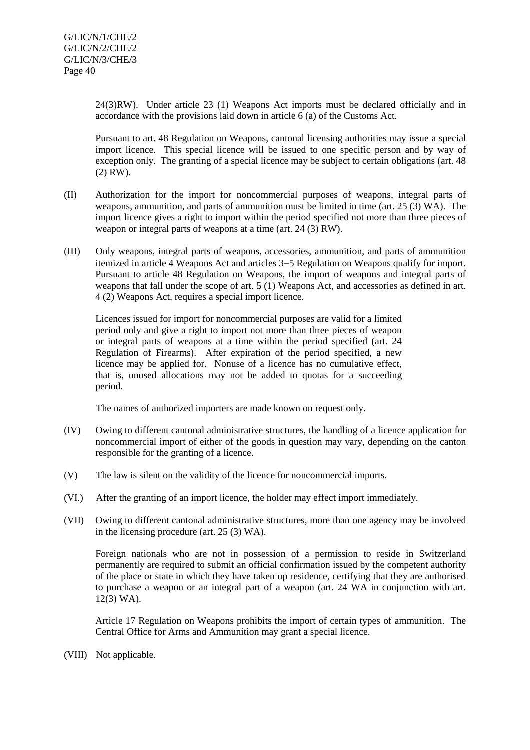24(3)RW). Under article 23 (1) Weapons Act imports must be declared officially and in accordance with the provisions laid down in article 6 (a) of the Customs Act.

Pursuant to art. 48 Regulation on Weapons, cantonal licensing authorities may issue a special import licence. This special licence will be issued to one specific person and by way of exception only. The granting of a special licence may be subject to certain obligations (art. 48) (2) RW).

- (II) Authorization for the import for noncommercial purposes of weapons, integral parts of weapons, ammunition, and parts of ammunition must be limited in time (art. 25 (3) WA). The import licence gives a right to import within the period specified not more than three pieces of weapon or integral parts of weapons at a time (art. 24 (3) RW).
- (III) Only weapons, integral parts of weapons, accessories, ammunition, and parts of ammunition itemized in article 4 Weapons Act and articles 3−5 Regulation on Weapons qualify for import. Pursuant to article 48 Regulation on Weapons, the import of weapons and integral parts of weapons that fall under the scope of art. 5 (1) Weapons Act, and accessories as defined in art. 4 (2) Weapons Act, requires a special import licence.

Licences issued for import for noncommercial purposes are valid for a limited period only and give a right to import not more than three pieces of weapon or integral parts of weapons at a time within the period specified (art. 24 Regulation of Firearms). After expiration of the period specified, a new licence may be applied for. Nonuse of a licence has no cumulative effect, that is, unused allocations may not be added to quotas for a succeeding period.

The names of authorized importers are made known on request only.

- (IV) Owing to different cantonal administrative structures, the handling of a licence application for noncommercial import of either of the goods in question may vary, depending on the canton responsible for the granting of a licence.
- (V) The law is silent on the validity of the licence for noncommercial imports.
- (VI.) After the granting of an import licence, the holder may effect import immediately.
- (VII) Owing to different cantonal administrative structures, more than one agency may be involved in the licensing procedure (art. 25 (3) WA).

Foreign nationals who are not in possession of a permission to reside in Switzerland permanently are required to submit an official confirmation issued by the competent authority of the place or state in which they have taken up residence, certifying that they are authorised to purchase a weapon or an integral part of a weapon (art. 24 WA in conjunction with art. 12(3) WA).

Article 17 Regulation on Weapons prohibits the import of certain types of ammunition. The Central Office for Arms and Ammunition may grant a special licence.

(VIII) Not applicable.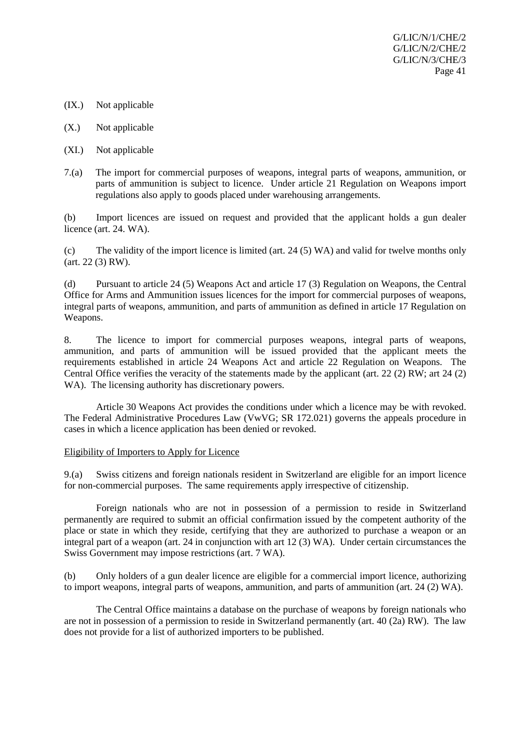- (IX.) Not applicable
- (X.) Not applicable
- (XI.) Not applicable
- 7.(a) The import for commercial purposes of weapons, integral parts of weapons, ammunition, or parts of ammunition is subject to licence. Under article 21 Regulation on Weapons import regulations also apply to goods placed under warehousing arrangements.

(b) Import licences are issued on request and provided that the applicant holds a gun dealer licence (art. 24. WA).

(c) The validity of the import licence is limited (art. 24 (5) WA) and valid for twelve months only (art. 22 (3) RW).

(d) Pursuant to article 24 (5) Weapons Act and article 17 (3) Regulation on Weapons, the Central Office for Arms and Ammunition issues licences for the import for commercial purposes of weapons, integral parts of weapons, ammunition, and parts of ammunition as defined in article 17 Regulation on Weapons.

8. The licence to import for commercial purposes weapons, integral parts of weapons, ammunition, and parts of ammunition will be issued provided that the applicant meets the requirements established in article 24 Weapons Act and article 22 Regulation on Weapons. The Central Office verifies the veracity of the statements made by the applicant (art. 22 (2) RW; art 24 (2) WA). The licensing authority has discretionary powers.

Article 30 Weapons Act provides the conditions under which a licence may be with revoked. The Federal Administrative Procedures Law (VwVG; SR 172.021) governs the appeals procedure in cases in which a licence application has been denied or revoked.

#### Eligibility of Importers to Apply for Licence

9.(a) Swiss citizens and foreign nationals resident in Switzerland are eligible for an import licence for non-commercial purposes. The same requirements apply irrespective of citizenship.

Foreign nationals who are not in possession of a permission to reside in Switzerland permanently are required to submit an official confirmation issued by the competent authority of the place or state in which they reside, certifying that they are authorized to purchase a weapon or an integral part of a weapon (art. 24 in conjunction with art 12 (3) WA). Under certain circumstances the Swiss Government may impose restrictions (art. 7 WA).

(b) Only holders of a gun dealer licence are eligible for a commercial import licence, authorizing to import weapons, integral parts of weapons, ammunition, and parts of ammunition (art. 24 (2) WA).

The Central Office maintains a database on the purchase of weapons by foreign nationals who are not in possession of a permission to reside in Switzerland permanently (art. 40 (2a) RW). The law does not provide for a list of authorized importers to be published.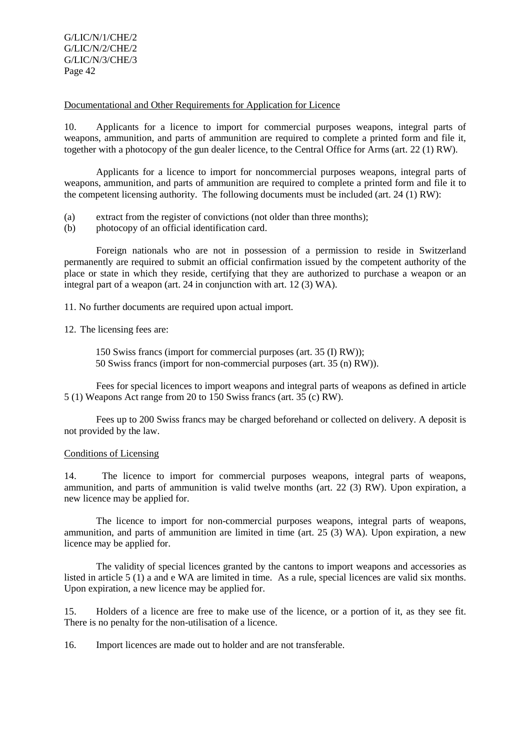Documentational and Other Requirements for Application for Licence

10. Applicants for a licence to import for commercial purposes weapons, integral parts of weapons, ammunition, and parts of ammunition are required to complete a printed form and file it, together with a photocopy of the gun dealer licence, to the Central Office for Arms (art. 22 (1) RW).

Applicants for a licence to import for noncommercial purposes weapons, integral parts of weapons, ammunition, and parts of ammunition are required to complete a printed form and file it to the competent licensing authority. The following documents must be included (art. 24 (1) RW):

- (a) extract from the register of convictions (not older than three months);
- (b) photocopy of an official identification card.

Foreign nationals who are not in possession of a permission to reside in Switzerland permanently are required to submit an official confirmation issued by the competent authority of the place or state in which they reside, certifying that they are authorized to purchase a weapon or an integral part of a weapon (art. 24 in conjunction with art. 12 (3) WA).

11. No further documents are required upon actual import.

12. The licensing fees are:

150 Swiss francs (import for commercial purposes (art. 35 (I) RW)); 50 Swiss francs (import for non-commercial purposes (art. 35 (n) RW)).

Fees for special licences to import weapons and integral parts of weapons as defined in article 5 (1) Weapons Act range from 20 to 150 Swiss francs (art. 35 (c) RW).

Fees up to 200 Swiss francs may be charged beforehand or collected on delivery. A deposit is not provided by the law.

#### Conditions of Licensing

14. The licence to import for commercial purposes weapons, integral parts of weapons, ammunition, and parts of ammunition is valid twelve months (art. 22 (3) RW). Upon expiration, a new licence may be applied for.

The licence to import for non-commercial purposes weapons, integral parts of weapons, ammunition, and parts of ammunition are limited in time (art. 25 (3) WA). Upon expiration, a new licence may be applied for.

The validity of special licences granted by the cantons to import weapons and accessories as listed in article 5 (1) a and e WA are limited in time. As a rule, special licences are valid six months. Upon expiration, a new licence may be applied for.

15. Holders of a licence are free to make use of the licence, or a portion of it, as they see fit. There is no penalty for the non-utilisation of a licence.

16. Import licences are made out to holder and are not transferable.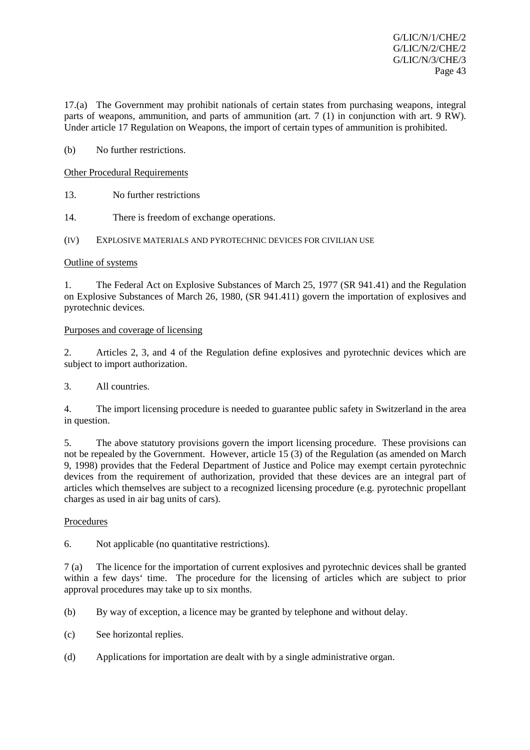17.(a) The Government may prohibit nationals of certain states from purchasing weapons, integral parts of weapons, ammunition, and parts of ammunition (art. 7 (1) in conjunction with art. 9 RW). Under article 17 Regulation on Weapons, the import of certain types of ammunition is prohibited.

(b) No further restrictions.

Other Procedural Requirements

13. No further restrictions

14. There is freedom of exchange operations.

(IV) EXPLOSIVE MATERIALS AND PYROTECHNIC DEVICES FOR CIVILIAN USE

## Outline of systems

1. The Federal Act on Explosive Substances of March 25, 1977 (SR 941.41) and the Regulation on Explosive Substances of March 26, 1980, (SR 941.411) govern the importation of explosives and pyrotechnic devices.

## Purposes and coverage of licensing

2. Articles 2, 3, and 4 of the Regulation define explosives and pyrotechnic devices which are subject to import authorization.

3. All countries.

4. The import licensing procedure is needed to guarantee public safety in Switzerland in the area in question.

5. The above statutory provisions govern the import licensing procedure. These provisions can not be repealed by the Government. However, article 15 (3) of the Regulation (as amended on March 9, 1998) provides that the Federal Department of Justice and Police may exempt certain pyrotechnic devices from the requirement of authorization, provided that these devices are an integral part of articles which themselves are subject to a recognized licensing procedure (e.g. pyrotechnic propellant charges as used in air bag units of cars).

## Procedures

6. Not applicable (no quantitative restrictions).

7 (a) The licence for the importation of current explosives and pyrotechnic devices shall be granted within a few days' time. The procedure for the licensing of articles which are subject to prior approval procedures may take up to six months.

(b) By way of exception, a licence may be granted by telephone and without delay.

- (c) See horizontal replies.
- (d) Applications for importation are dealt with by a single administrative organ.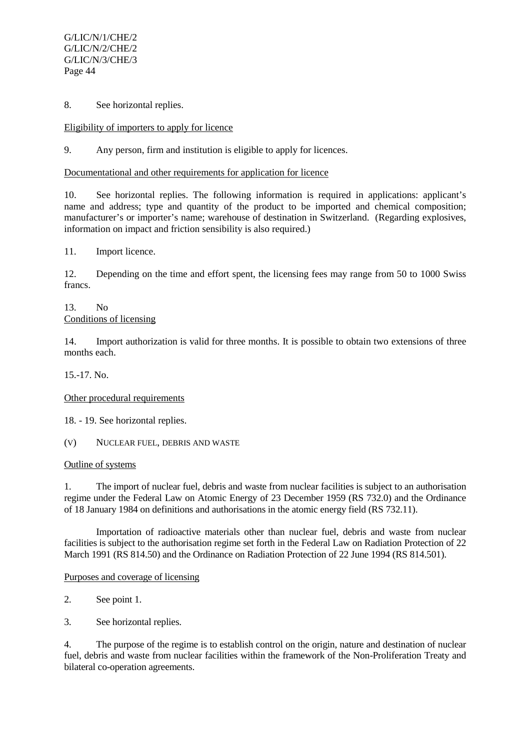8. See horizontal replies.

Eligibility of importers to apply for licence

9. Any person, firm and institution is eligible to apply for licences.

## Documentational and other requirements for application for licence

10. See horizontal replies. The following information is required in applications: applicant's name and address; type and quantity of the product to be imported and chemical composition; manufacturer's or importer's name; warehouse of destination in Switzerland. (Regarding explosives, information on impact and friction sensibility is also required.)

11. Import licence.

12. Depending on the time and effort spent, the licensing fees may range from 50 to 1000 Swiss francs.

#### 13. No Conditions of licensing

14. Import authorization is valid for three months. It is possible to obtain two extensions of three months each.

15.-17. No.

Other procedural requirements

18. - 19. See horizontal replies.

(V) NUCLEAR FUEL, DEBRIS AND WASTE

## Outline of systems

1. The import of nuclear fuel, debris and waste from nuclear facilities is subject to an authorisation regime under the Federal Law on Atomic Energy of 23 December 1959 (RS 732.0) and the Ordinance of 18 January 1984 on definitions and authorisations in the atomic energy field (RS 732.11).

Importation of radioactive materials other than nuclear fuel, debris and waste from nuclear facilities is subject to the authorisation regime set forth in the Federal Law on Radiation Protection of 22 March 1991 (RS 814.50) and the Ordinance on Radiation Protection of 22 June 1994 (RS 814.501).

Purposes and coverage of licensing

- 2. See point 1.
- 3. See horizontal replies.

4. The purpose of the regime is to establish control on the origin, nature and destination of nuclear fuel, debris and waste from nuclear facilities within the framework of the Non-Proliferation Treaty and bilateral co-operation agreements.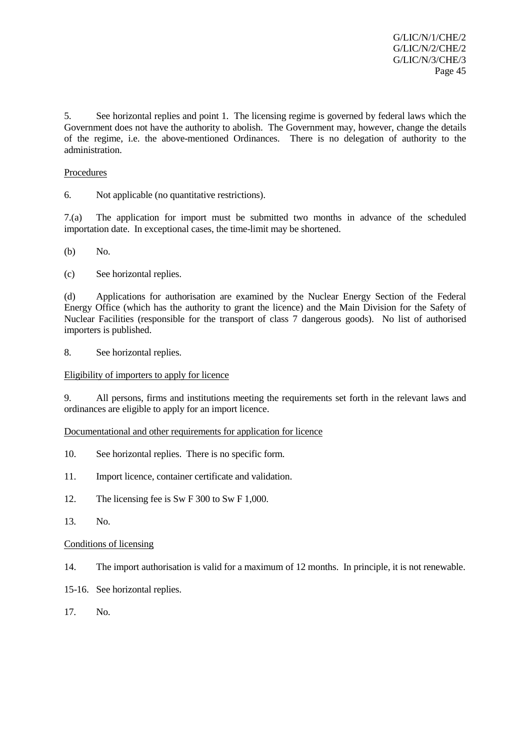5. See horizontal replies and point 1. The licensing regime is governed by federal laws which the Government does not have the authority to abolish. The Government may, however, change the details of the regime, i.e. the above-mentioned Ordinances. There is no delegation of authority to the administration.

# Procedures

6. Not applicable (no quantitative restrictions).

7.(a) The application for import must be submitted two months in advance of the scheduled importation date. In exceptional cases, the time-limit may be shortened.

(b) No.

(c) See horizontal replies.

(d) Applications for authorisation are examined by the Nuclear Energy Section of the Federal Energy Office (which has the authority to grant the licence) and the Main Division for the Safety of Nuclear Facilities (responsible for the transport of class 7 dangerous goods). No list of authorised importers is published.

8. See horizontal replies.

## Eligibility of importers to apply for licence

9. All persons, firms and institutions meeting the requirements set forth in the relevant laws and ordinances are eligible to apply for an import licence.

## Documentational and other requirements for application for licence

- 10. See horizontal replies. There is no specific form.
- 11. Import licence, container certificate and validation.
- 12. The licensing fee is Sw F 300 to Sw F 1,000.
- 13. No.

## Conditions of licensing

- 14. The import authorisation is valid for a maximum of 12 months. In principle, it is not renewable.
- 15-16. See horizontal replies.
- 17. No.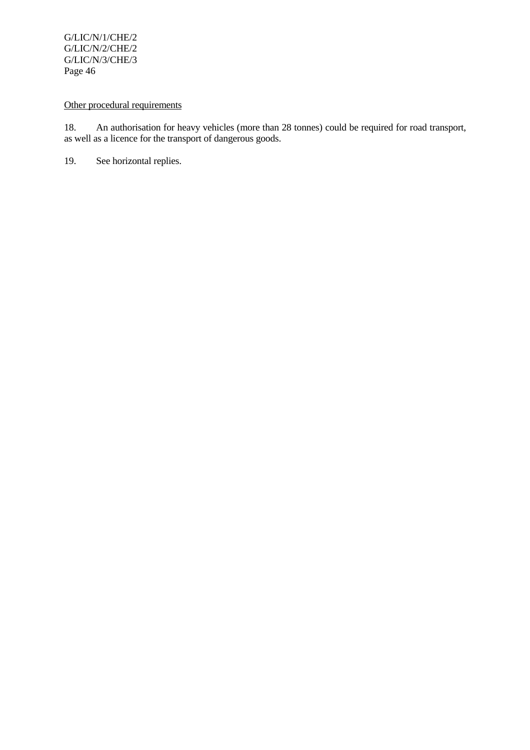# Other procedural requirements

18. An authorisation for heavy vehicles (more than 28 tonnes) could be required for road transport, as well as a licence for the transport of dangerous goods.

19. See horizontal replies.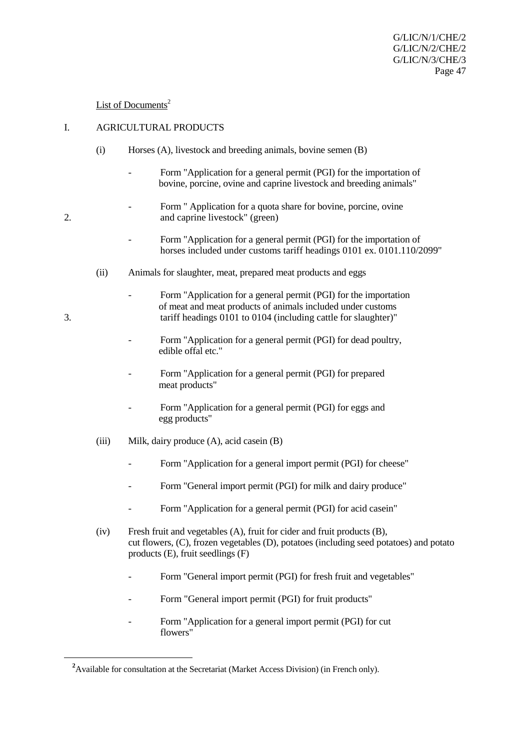# List of Documents $2$

## I. AGRICULTURAL PRODUCTS

- (i) Horses (A), livestock and breeding animals, bovine semen (B)
	- Form "Application for a general permit (PGI) for the importation of bovine, porcine, ovine and caprine livestock and breeding animals"
- Form " Application for a quota share for bovine, porcine, ovine 2. and caprine livestock" (green)
	- Form "Application for a general permit (PGI) for the importation of horses included under customs tariff headings 0101 ex. 0101.110/2099"
	- (ii) Animals for slaughter, meat, prepared meat products and eggs
- Form "Application for a general permit (PGI) for the importation of meat and meat products of animals included under customs 3. tariff headings 0101 to 0104 (including cattle for slaughter)"
	- Form "Application for a general permit (PGI) for dead poultry, edible offal etc."
	- Form "Application for a general permit (PGI) for prepared meat products"
	- Form "Application for a general permit (PGI) for eggs and egg products"
	- (iii) Milk, dairy produce (A), acid casein (B)
		- Form "Application for a general import permit (PGI) for cheese"
		- Form "General import permit (PGI) for milk and dairy produce"
		- Form "Application for a general permit (PGI) for acid casein"
	- (iv) Fresh fruit and vegetables (A), fruit for cider and fruit products (B), cut flowers, (C), frozen vegetables (D), potatoes (including seed potatoes) and potato products (E), fruit seedlings (F)
		- Form "General import permit (PGI) for fresh fruit and vegetables"
		- Form "General import permit (PGI) for fruit products"
		- Form "Application for a general import permit (PGI) for cut flowers"

 $\overline{a}$ 

<sup>&</sup>lt;sup>2</sup> Available for consultation at the Secretariat (Market Access Division) (in French only).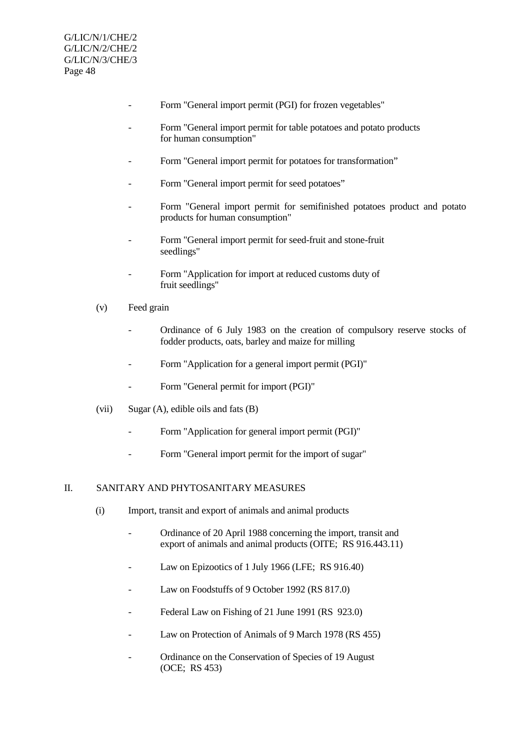- Form "General import permit (PGI) for frozen vegetables"
- Form "General import permit for table potatoes and potato products for human consumption"
- Form "General import permit for potatoes for transformation"
- Form "General import permit for seed potatoes"
- Form "General import permit for semifinished potatoes product and potato products for human consumption"
- Form "General import permit for seed-fruit and stone-fruit seedlings"
- Form "Application for import at reduced customs duty of fruit seedlings"
- (v) Feed grain
	- Ordinance of 6 July 1983 on the creation of compulsory reserve stocks of fodder products, oats, barley and maize for milling
	- Form "Application for a general import permit (PGI)"
	- Form "General permit for import (PGI)"
- (vii) Sugar (A), edible oils and fats (B)
	- Form "Application for general import permit (PGI)"
	- Form "General import permit for the import of sugar"

## II. SANITARY AND PHYTOSANITARY MEASURES

- (i) Import, transit and export of animals and animal products
	- Ordinance of 20 April 1988 concerning the import, transit and export of animals and animal products (OITE; RS 916.443.11)
	- Law on Epizootics of 1 July 1966 (LFE; RS 916.40)
	- Law on Foodstuffs of 9 October 1992 (RS 817.0)
	- Federal Law on Fishing of 21 June 1991 (RS 923.0)
	- Law on Protection of Animals of 9 March 1978 (RS 455)
	- Ordinance on the Conservation of Species of 19 August (OCE; RS 453)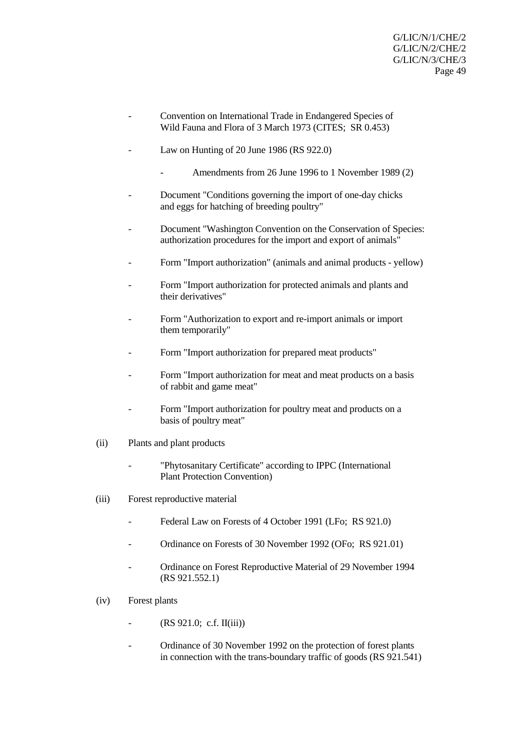- Convention on International Trade in Endangered Species of Wild Fauna and Flora of 3 March 1973 (CITES; SR 0.453)
- Law on Hunting of 20 June 1986 (RS  $922.0$ )
	- Amendments from 26 June 1996 to 1 November 1989 (2)
- Document "Conditions governing the import of one-day chicks" and eggs for hatching of breeding poultry"
- Document "Washington Convention on the Conservation of Species: authorization procedures for the import and export of animals"
- Form "Import authorization" (animals and animal products yellow)
- Form "Import authorization for protected animals and plants and their derivatives"
- Form "Authorization to export and re-import animals or import them temporarily"
- Form "Import authorization for prepared meat products"
- Form "Import authorization for meat and meat products on a basis of rabbit and game meat"
- Form "Import authorization for poultry meat and products on a basis of poultry meat"
- (ii) Plants and plant products
	- "Phytosanitary Certificate" according to IPPC (International Plant Protection Convention)
- (iii) Forest reproductive material
	- Federal Law on Forests of 4 October 1991 (LFo; RS 921.0)
	- Ordinance on Forests of 30 November 1992 (OFo; RS 921.01)
	- Ordinance on Forest Reproductive Material of 29 November 1994 (RS 921.552.1)
- (iv) Forest plants
	- $(RS 921.0; c.f. II(iii))$
	- Ordinance of 30 November 1992 on the protection of forest plants in connection with the trans-boundary traffic of goods (RS 921.541)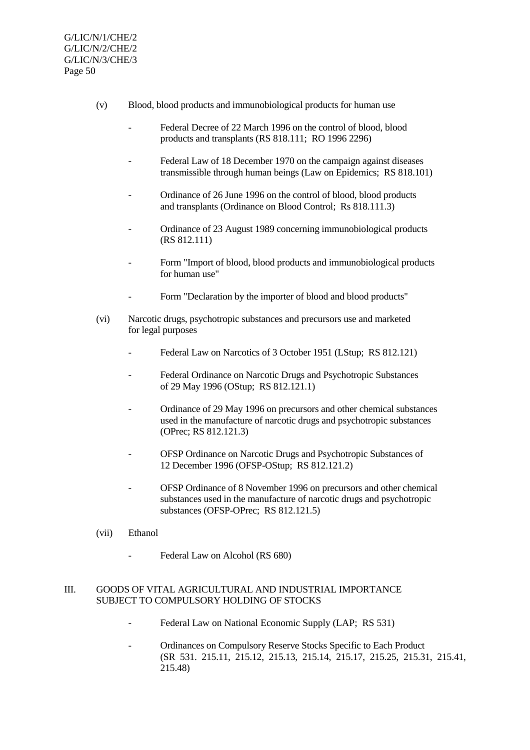- (v) Blood, blood products and immunobiological products for human use
	- Federal Decree of 22 March 1996 on the control of blood, blood products and transplants (RS 818.111; RO 1996 2296)
	- Federal Law of 18 December 1970 on the campaign against diseases transmissible through human beings (Law on Epidemics; RS 818.101)
	- Ordinance of 26 June 1996 on the control of blood, blood products and transplants (Ordinance on Blood Control; Rs 818.111.3)
	- Ordinance of 23 August 1989 concerning immunobiological products (RS 812.111)
	- Form "Import of blood, blood products and immunobiological products for human use"
	- Form "Declaration by the importer of blood and blood products"
- (vi) Narcotic drugs, psychotropic substances and precursors use and marketed for legal purposes
	- Federal Law on Narcotics of 3 October 1951 (LStup; RS 812.121)
	- Federal Ordinance on Narcotic Drugs and Psychotropic Substances of 29 May 1996 (OStup; RS 812.121.1)
	- Ordinance of 29 May 1996 on precursors and other chemical substances used in the manufacture of narcotic drugs and psychotropic substances (OPrec; RS 812.121.3)
	- OFSP Ordinance on Narcotic Drugs and Psychotropic Substances of 12 December 1996 (OFSP-OStup; RS 812.121.2)
	- OFSP Ordinance of 8 November 1996 on precursors and other chemical substances used in the manufacture of narcotic drugs and psychotropic substances (OFSP-OPrec; RS 812.121.5)
- (vii) Ethanol
	- Federal Law on Alcohol (RS 680)

## III. GOODS OF VITAL AGRICULTURAL AND INDUSTRIAL IMPORTANCE SUBJECT TO COMPULSORY HOLDING OF STOCKS

- Federal Law on National Economic Supply (LAP; RS 531)
- Ordinances on Compulsory Reserve Stocks Specific to Each Product (SR 531. 215.11, 215.12, 215.13, 215.14, 215.17, 215.25, 215.31, 215.41, 215.48)